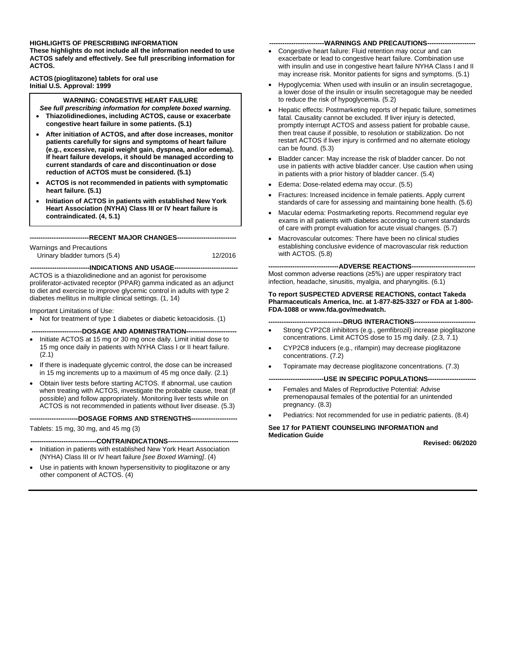#### **HIGHLIGHTS OF PRESCRIBING INFORMATION**

**These highlights do not include all the information needed to use ACTOS safely and effectively. See full prescribing information for ACTOS.**

**ACTOS (pioglitazone) tablets for oral use Initial U.S. Approval: 1999**

#### **WARNING: CONGESTIVE HEART FAILURE**

- *See full prescribing information for complete boxed warning.* • **Thiazolidinediones, including ACTOS, cause or exacerbate**
- **congestive heart failure in some patients. (5.1)**
- **After initiation of ACTOS, and after dose increases, monitor patients carefully for signs and symptoms of heart failure (e.g., excessive, rapid weight gain, dyspnea, and/or edema). If heart failure develops, it should be managed according to current standards of care and discontinuation or dose reduction of ACTOS must be considered. (5.1)**
- **ACTOS is not recommended in patients with symptomatic heart failure. (5.1)**
- **Initiation of ACTOS in patients with established New York Heart Association (NYHA) Class III or IV heart failure is contraindicated. (4, 5.1)**

**---------------------------RECENT MAJOR CHANGES---------------------------**

Warnings and Precautions Urinary bladder tumors (5.4) 12/2016

**---------------------------INDICATIONS AND USAGE-----------------------------** ACTOS is a thiazolidinedione and an agonist for peroxisome proliferator-activated receptor (PPAR) gamma indicated as an adjunct to diet and exercise to improve glycemic control in adults with type 2 diabetes mellitus in multiple clinical settings. (1, 14)

#### Important Limitations of Use:

• Not for treatment of type 1 diabetes or diabetic ketoacidosis. (1)

**-----------------------DOSAGE AND ADMINISTRATION-----------------------**

- Initiate ACTOS at 15 mg or 30 mg once daily. Limit initial dose to 15 mg once daily in patients with NYHA Class I or II heart failure. (2.1)
- If there is inadequate glycemic control, the dose can be increased in 15 mg increments up to a maximum of 45 mg once daily. (2.1)
- Obtain liver tests before starting ACTOS. If abnormal, use caution when treating with ACTOS, investigate the probable cause, treat (if possible) and follow appropriately. Monitoring liver tests while on ACTOS is not recommended in patients without liver disease. (5.3)

**----------------------DOSAGE FORMS AND STRENGTHS---------------------**

Tablets: 15 mg, 30 mg, and 45 mg (3)

---CONTRAINDICATIONS-----

- Initiation in patients with established New York Heart Association (NYHA) Class III or IV heart failure *[see Boxed Warning]*. (4)
- Use in patients with known hypersensitivity to pioglitazone or any other component of ACTOS. (4)

#### ---WARNINGS AND PRECAUTIONS--

- Congestive heart failure: Fluid retention may occur and can exacerbate or lead to congestive heart failure. Combination use with insulin and use in congestive heart failure NYHA Class I and II may increase risk. Monitor patients for signs and symptoms. (5.1)
- Hypoglycemia: When used with insulin or an insulin secretagogue, a lower dose of the insulin or insulin secretagogue may be needed to reduce the risk of hypoglycemia. (5.2)
- Hepatic effects: Postmarketing reports of hepatic failure, sometimes fatal. Causality cannot be excluded. If liver injury is detected, promptly interrupt ACTOS and assess patient for probable cause, then treat cause if possible, to resolution or stabilization. Do not restart ACTOS if liver injury is confirmed and no alternate etiology can be found. (5.3)
- Bladder cancer: May increase the risk of bladder cancer. Do not use in patients with active bladder cancer. Use caution when using in patients with a prior history of bladder cancer. (5.4)
- Edema: Dose-related edema may occur. (5.5)
- Fractures: Increased incidence in female patients. Apply current standards of care for assessing and maintaining bone health. (5.6)
- Macular edema: Postmarketing reports. Recommend regular eye exams in all patients with diabetes according to current standards of care with prompt evaluation for acute visual changes. (5.7)
- Macrovascular outcomes: There have been no clinical studies establishing conclusive evidence of macrovascular risk reduction with ACTOS. (5.8)

--ADVERSE REACTIONS----

Most common adverse reactions (≥5%) are upper respiratory tract infection, headache, sinusitis, myalgia, and pharyngitis. (6.1)

#### **To report SUSPECTED ADVERSE REACTIONS, contact Takeda Pharmaceuticals America, Inc. at 1-877-825-3327 or FDA at 1-800- FDA-1088 or www.fda.gov/medwatch.**

#### ---DRUG INTERACTIONS--

- Strong CYP2C8 inhibitors (e.g., gemfibrozil) increase pioglitazone concentrations. Limit ACTOS dose to 15 mg daily. (2.3, 7.1)
- CYP2C8 inducers (e.g., rifampin) may decrease pioglitazone concentrations. (7.2)
- Topiramate may decrease pioglitazone concentrations. (7.3)

**-----USE IN SPECIFIC POPULATIONS--**

- Females and Males of Reproductive Potential: Advise premenopausal females of the potential for an unintended pregnancy. (8.3)
- Pediatrics: Not recommended for use in pediatric patients. (8.4)

**See 17 for PATIENT COUNSELING INFORMATION and Medication Guide**

**Revised: 06/2020**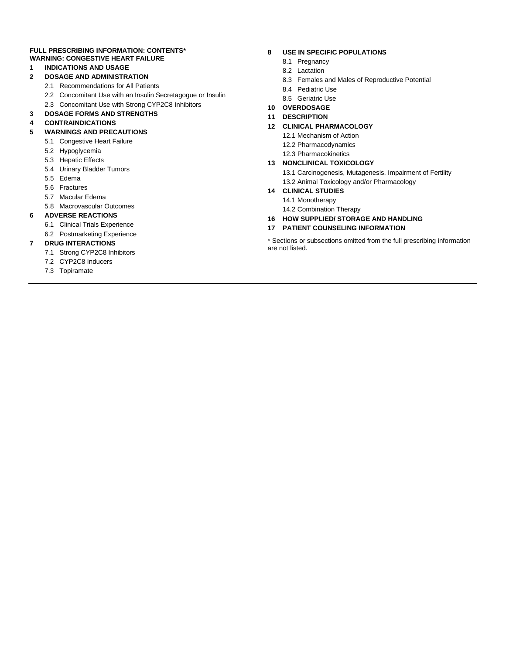#### **FULL PRESCRIBING INFORMATION: CONTENTS\* WARNING: CONGESTIVE HEART FAILURE**

#### **1 INDICATIONS AND USAGE**

- **2 DOSAGE AND ADMINISTRATION**
	- 2.1 Recommendations for All Patients
	- 2.2 Concomitant Use with an Insulin Secretagogue or Insulin
	- 2.3 Concomitant Use with Strong CYP2C8 Inhibitors
- **3 DOSAGE FORMS AND STRENGTHS**

#### **4 CONTRAINDICATIONS**

- **5 WARNINGS AND PRECAUTIONS**
	- 5.1 Congestive Heart Failure
	- 5.2 Hypoglycemia
	- 5.3 Hepatic Effects
	- 5.4 Urinary Bladder Tumors
	- 5.5 Edema
	- 5.6 Fractures
	- 5.7 Macular Edema
	- 5.8 Macrovascular Outcomes

#### **6 ADVERSE REACTIONS**

- 6.1 Clinical Trials Experience
- 6.2 Postmarketing Experience

#### **7 DRUG INTERACTIONS**

- 7.1 Strong CYP2C8 Inhibitors
- 7.2 CYP2C8 Inducers
- 7.3 Topiramate

#### **8 USE IN SPECIFIC POPULATIONS**

- 8.1 Pregnancy
- 8.2 Lactation
- 8.3 Females and Males of Reproductive Potential
- 8.4 Pediatric Use
- 8.5 Geriatric Use
- **10 OVERDOSAGE**

#### **11 DESCRIPTION**

#### **12 CLINICAL PHARMACOLOGY**

- 12.1 Mechanism of Action
- 12.2 Pharmacodynamics
- 12.3 Pharmacokinetics

#### **13 NONCLINICAL TOXICOLOGY**

13.1 Carcinogenesis, Mutagenesis, Impairment of Fertility 13.2 Animal Toxicology and/or Pharmacology

#### **14 CLINICAL STUDIES**

- 14.1 Monotherapy
	- 14.2 Combination Therapy
- **16 HOW SUPPLIED/ STORAGE AND HANDLING**

#### **17 PATIENT COUNSELING INFORMATION**

\* Sections or subsections omitted from the full prescribing information are not listed.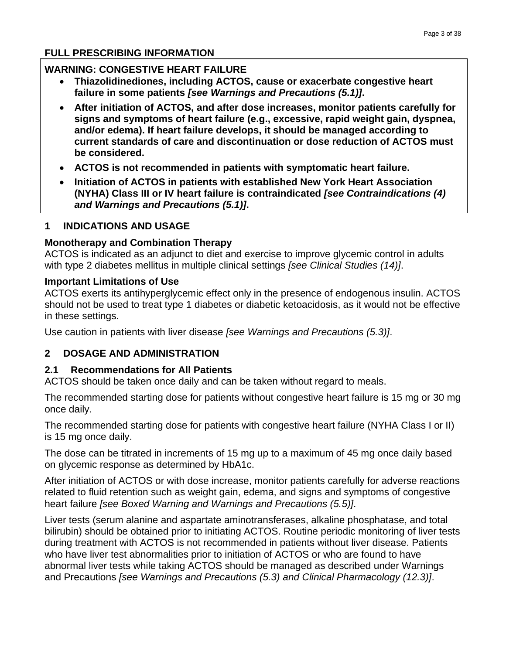#### **FULL PRESCRIBING INFORMATION**

### **WARNING: CONGESTIVE HEART FAILURE**

- **Thiazolidinediones, including ACTOS, cause or exacerbate congestive heart failure in some patients** *[see Warnings and Precautions (5.1)]***.**
- **After initiation of ACTOS, and after dose increases, monitor patients carefully for signs and symptoms of heart failure (e.g., excessive, rapid weight gain, dyspnea, and/or edema). If heart failure develops, it should be managed according to current standards of care and discontinuation or dose reduction of ACTOS must be considered.**
- **ACTOS is not recommended in patients with symptomatic heart failure.**
- **Initiation of ACTOS in patients with established New York Heart Association (NYHA) Class III or IV heart failure is contraindicated** *[see Contraindications (4) and Warnings and Precautions (5.1)]***.**

### **1 INDICATIONS AND USAGE**

### **Monotherapy and Combination Therapy**

ACTOS is indicated as an adjunct to diet and exercise to improve glycemic control in adults with type 2 diabetes mellitus in multiple clinical settings *[see Clinical Studies (14)]*.

### **Important Limitations of Use**

ACTOS exerts its antihyperglycemic effect only in the presence of endogenous insulin. ACTOS should not be used to treat type 1 diabetes or diabetic ketoacidosis, as it would not be effective in these settings.

Use caution in patients with liver disease *[see Warnings and Precautions (5.3)]*.

# **2 DOSAGE AND ADMINISTRATION**

### **2.1 Recommendations for All Patients**

ACTOS should be taken once daily and can be taken without regard to meals.

The recommended starting dose for patients without congestive heart failure is 15 mg or 30 mg once daily.

The recommended starting dose for patients with congestive heart failure (NYHA Class I or II) is 15 mg once daily.

The dose can be titrated in increments of 15 mg up to a maximum of 45 mg once daily based on glycemic response as determined by HbA1c.

After initiation of ACTOS or with dose increase, monitor patients carefully for adverse reactions related to fluid retention such as weight gain, edema, and signs and symptoms of congestive heart failure *[see Boxed Warning and Warnings and Precautions (5.5)]*.

Liver tests (serum alanine and aspartate aminotransferases, alkaline phosphatase, and total bilirubin) should be obtained prior to initiating ACTOS. Routine periodic monitoring of liver tests during treatment with ACTOS is not recommended in patients without liver disease. Patients who have liver test abnormalities prior to initiation of ACTOS or who are found to have abnormal liver tests while taking ACTOS should be managed as described under Warnings and Precautions *[see Warnings and Precautions (5.3) and Clinical Pharmacology (12.3)]*.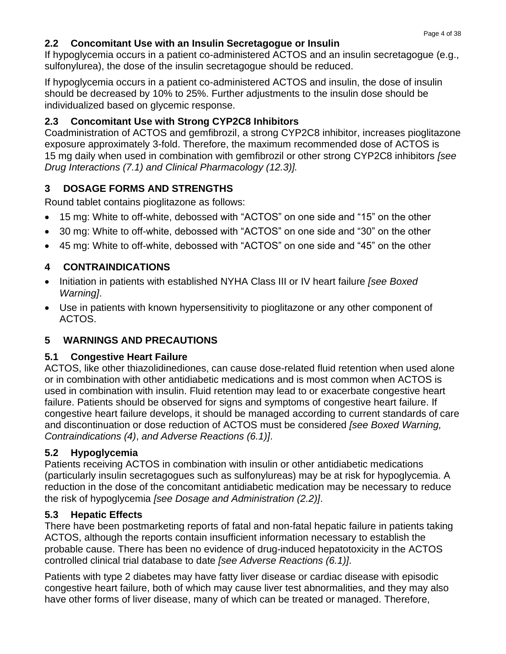# **2.2 Concomitant Use with an Insulin Secretagogue or Insulin**

If hypoglycemia occurs in a patient co-administered ACTOS and an insulin secretagogue (e.g., sulfonylurea), the dose of the insulin secretagogue should be reduced.

If hypoglycemia occurs in a patient co-administered ACTOS and insulin, the dose of insulin should be decreased by 10% to 25%. Further adjustments to the insulin dose should be individualized based on glycemic response.

# **2.3 Concomitant Use with Strong CYP2C8 Inhibitors**

Coadministration of ACTOS and gemfibrozil, a strong CYP2C8 inhibitor, increases pioglitazone exposure approximately 3-fold. Therefore, the maximum recommended dose of ACTOS is 15 mg daily when used in combination with gemfibrozil or other strong CYP2C8 inhibitors *[see Drug Interactions (7.1) and Clinical Pharmacology (12.3)].*

# **3 DOSAGE FORMS AND STRENGTHS**

Round tablet contains pioglitazone as follows:

- 15 mg: White to off-white, debossed with "ACTOS" on one side and "15" on the other
- 30 mg: White to off-white, debossed with "ACTOS" on one side and "30" on the other
- 45 mg: White to off-white, debossed with "ACTOS" on one side and "45" on the other

# **4 CONTRAINDICATIONS**

- Initiation in patients with established NYHA Class III or IV heart failure *[see Boxed Warning]*.
- Use in patients with known hypersensitivity to pioglitazone or any other component of ACTOS.

# **5 WARNINGS AND PRECAUTIONS**

# **5.1 Congestive Heart Failure**

ACTOS, like other thiazolidinediones, can cause dose-related fluid retention when used alone or in combination with other antidiabetic medications and is most common when ACTOS is used in combination with insulin. Fluid retention may lead to or exacerbate congestive heart failure. Patients should be observed for signs and symptoms of congestive heart failure. If congestive heart failure develops, it should be managed according to current standards of care and discontinuation or dose reduction of ACTOS must be considered *[see Boxed Warning, Contraindications (4)*, *and Adverse Reactions (6.1)]*.

# **5.2 Hypoglycemia**

Patients receiving ACTOS in combination with insulin or other antidiabetic medications (particularly insulin secretagogues such as sulfonylureas) may be at risk for hypoglycemia. A reduction in the dose of the concomitant antidiabetic medication may be necessary to reduce the risk of hypoglycemia *[see Dosage and Administration (2.2)]*.

# **5.3 Hepatic Effects**

There have been postmarketing reports of fatal and non-fatal hepatic failure in patients taking ACTOS, although the reports contain insufficient information necessary to establish the probable cause. There has been no evidence of drug-induced hepatotoxicity in the ACTOS controlled clinical trial database to date *[see Adverse Reactions (6.1)]*.

Patients with type 2 diabetes may have fatty liver disease or cardiac disease with episodic congestive heart failure, both of which may cause liver test abnormalities, and they may also have other forms of liver disease, many of which can be treated or managed. Therefore,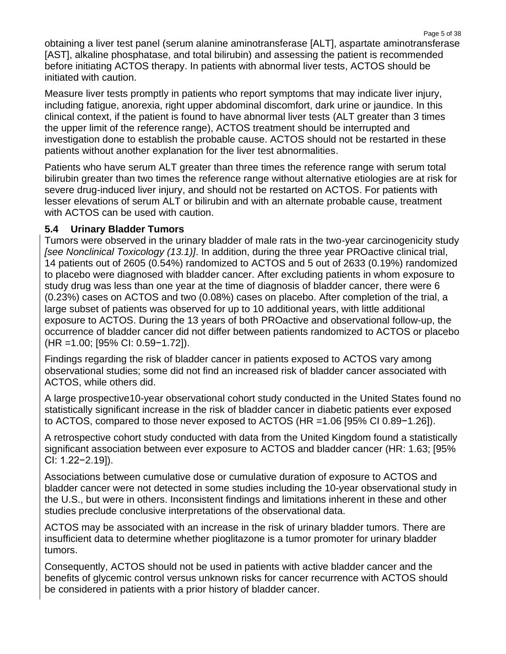Page 5 of 38 obtaining a liver test panel (serum alanine aminotransferase [ALT], aspartate aminotransferase [AST], alkaline phosphatase, and total bilirubin) and assessing the patient is recommended before initiating ACTOS therapy. In patients with abnormal liver tests, ACTOS should be initiated with caution.

Measure liver tests promptly in patients who report symptoms that may indicate liver injury, including fatigue, anorexia, right upper abdominal discomfort, dark urine or jaundice. In this clinical context, if the patient is found to have abnormal liver tests (ALT greater than 3 times the upper limit of the reference range), ACTOS treatment should be interrupted and investigation done to establish the probable cause. ACTOS should not be restarted in these patients without another explanation for the liver test abnormalities.

Patients who have serum ALT greater than three times the reference range with serum total bilirubin greater than two times the reference range without alternative etiologies are at risk for severe drug-induced liver injury, and should not be restarted on ACTOS. For patients with lesser elevations of serum ALT or bilirubin and with an alternate probable cause, treatment with ACTOS can be used with caution.

# **5.4 Urinary Bladder Tumors**

Tumors were observed in the urinary bladder of male rats in the two-year carcinogenicity study *[see Nonclinical Toxicology (13.1)]*. In addition, during the three year PROactive clinical trial, 14 patients out of 2605 (0.54%) randomized to ACTOS and 5 out of 2633 (0.19%) randomized to placebo were diagnosed with bladder cancer. After excluding patients in whom exposure to study drug was less than one year at the time of diagnosis of bladder cancer, there were 6 (0.23%) cases on ACTOS and two (0.08%) cases on placebo. After completion of the trial, a large subset of patients was observed for up to 10 additional years, with little additional exposure to ACTOS. During the 13 years of both PROactive and observational follow-up, the occurrence of bladder cancer did not differ between patients randomized to ACTOS or placebo (HR =1.00; [95% CI: 0.59−1.72]).

Findings regarding the risk of bladder cancer in patients exposed to ACTOS vary among observational studies; some did not find an increased risk of bladder cancer associated with ACTOS, while others did.

A large prospective10-year observational cohort study conducted in the United States found no statistically significant increase in the risk of bladder cancer in diabetic patients ever exposed to ACTOS, compared to those never exposed to ACTOS (HR =1.06 [95% CI 0.89−1.26]).

A retrospective cohort study conducted with data from the United Kingdom found a statistically significant association between ever exposure to ACTOS and bladder cancer (HR: 1.63; [95% CI: 1.22−2.19]).

Associations between cumulative dose or cumulative duration of exposure to ACTOS and bladder cancer were not detected in some studies including the 10-year observational study in the U.S., but were in others. Inconsistent findings and limitations inherent in these and other studies preclude conclusive interpretations of the observational data.

ACTOS may be associated with an increase in the risk of urinary bladder tumors. There are insufficient data to determine whether pioglitazone is a tumor promoter for urinary bladder tumors.

Consequently, ACTOS should not be used in patients with active bladder cancer and the benefits of glycemic control versus unknown risks for cancer recurrence with ACTOS should be considered in patients with a prior history of bladder cancer.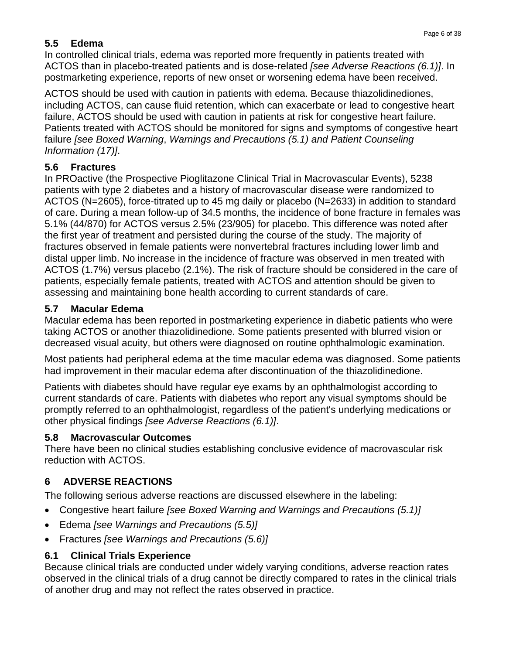# **5.5 Edema**

In controlled clinical trials, edema was reported more frequently in patients treated with ACTOS than in placebo-treated patients and is dose-related *[see Adverse Reactions (6.1)]*. In postmarketing experience, reports of new onset or worsening edema have been received.

ACTOS should be used with caution in patients with edema. Because thiazolidinediones, including ACTOS, can cause fluid retention, which can exacerbate or lead to congestive heart failure, ACTOS should be used with caution in patients at risk for congestive heart failure. Patients treated with ACTOS should be monitored for signs and symptoms of congestive heart failure *[see Boxed Warning*, *Warnings and Precautions (5.1) and Patient Counseling Information (17)]*.

# **5.6 Fractures**

In PROactive (the Prospective Pioglitazone Clinical Trial in Macrovascular Events), 5238 patients with type 2 diabetes and a history of macrovascular disease were randomized to ACTOS (N=2605), force-titrated up to 45 mg daily or placebo (N=2633) in addition to standard of care. During a mean follow-up of 34.5 months, the incidence of bone fracture in females was 5.1% (44/870) for ACTOS versus 2.5% (23/905) for placebo. This difference was noted after the first year of treatment and persisted during the course of the study. The majority of fractures observed in female patients were nonvertebral fractures including lower limb and distal upper limb. No increase in the incidence of fracture was observed in men treated with ACTOS (1.7%) versus placebo (2.1%). The risk of fracture should be considered in the care of patients, especially female patients, treated with ACTOS and attention should be given to assessing and maintaining bone health according to current standards of care.

# **5.7 Macular Edema**

Macular edema has been reported in postmarketing experience in diabetic patients who were taking ACTOS or another thiazolidinedione. Some patients presented with blurred vision or decreased visual acuity, but others were diagnosed on routine ophthalmologic examination.

Most patients had peripheral edema at the time macular edema was diagnosed. Some patients had improvement in their macular edema after discontinuation of the thiazolidinedione.

Patients with diabetes should have regular eye exams by an ophthalmologist according to current standards of care. Patients with diabetes who report any visual symptoms should be promptly referred to an ophthalmologist, regardless of the patient's underlying medications or other physical findings *[see Adverse Reactions (6.1)]*.

# **5.8 Macrovascular Outcomes**

There have been no clinical studies establishing conclusive evidence of macrovascular risk reduction with ACTOS.

# **6 ADVERSE REACTIONS**

The following serious adverse reactions are discussed elsewhere in the labeling:

- Congestive heart failure *[see Boxed Warning and Warnings and Precautions (5.1)]*
- Edema *[see Warnings and Precautions (5.5)]*
- Fractures *[see Warnings and Precautions (5.6)]*

# **6.1 Clinical Trials Experience**

Because clinical trials are conducted under widely varying conditions, adverse reaction rates observed in the clinical trials of a drug cannot be directly compared to rates in the clinical trials of another drug and may not reflect the rates observed in practice.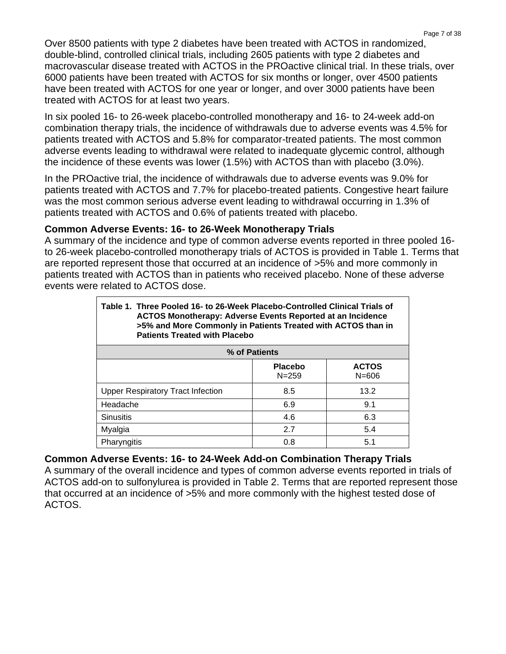Over 8500 patients with type 2 diabetes have been treated with ACTOS in randomized, double-blind, controlled clinical trials, including 2605 patients with type 2 diabetes and macrovascular disease treated with ACTOS in the PROactive clinical trial. In these trials, over 6000 patients have been treated with ACTOS for six months or longer, over 4500 patients have been treated with ACTOS for one year or longer, and over 3000 patients have been treated with ACTOS for at least two years.

In six pooled 16- to 26-week placebo-controlled monotherapy and 16- to 24-week add-on combination therapy trials, the incidence of withdrawals due to adverse events was 4.5% for patients treated with ACTOS and 5.8% for comparator-treated patients. The most common adverse events leading to withdrawal were related to inadequate glycemic control, although the incidence of these events was lower (1.5%) with ACTOS than with placebo (3.0%).

In the PROactive trial, the incidence of withdrawals due to adverse events was 9.0% for patients treated with ACTOS and 7.7% for placebo-treated patients. Congestive heart failure was the most common serious adverse event leading to withdrawal occurring in 1.3% of patients treated with ACTOS and 0.6% of patients treated with placebo.

### **Common Adverse Events: 16- to 26-Week Monotherapy Trials**

A summary of the incidence and type of common adverse events reported in three pooled 16 to 26-week placebo-controlled monotherapy trials of ACTOS is provided in Table 1. Terms that are reported represent those that occurred at an incidence of >5% and more commonly in patients treated with ACTOS than in patients who received placebo. None of these adverse events were related to ACTOS dose.

| Table 1. Three Pooled 16- to 26-Week Placebo-Controlled Clinical Trials of<br><b>ACTOS Monotherapy: Adverse Events Reported at an Incidence</b><br>>5% and More Commonly in Patients Treated with ACTOS than in<br><b>Patients Treated with Placebo</b> |                             |                           |  |  |  |
|---------------------------------------------------------------------------------------------------------------------------------------------------------------------------------------------------------------------------------------------------------|-----------------------------|---------------------------|--|--|--|
| % of Patients                                                                                                                                                                                                                                           |                             |                           |  |  |  |
|                                                                                                                                                                                                                                                         | <b>Placebo</b><br>$N = 259$ | <b>ACTOS</b><br>$N = 606$ |  |  |  |
| <b>Upper Respiratory Tract Infection</b>                                                                                                                                                                                                                | 8.5                         | 13.2                      |  |  |  |
| Headache                                                                                                                                                                                                                                                | 6.9                         | 9.1                       |  |  |  |
| <b>Sinusitis</b>                                                                                                                                                                                                                                        | 4.6                         | 6.3                       |  |  |  |
| 2.7<br>5.4<br>Myalgia                                                                                                                                                                                                                                   |                             |                           |  |  |  |
| Pharyngitis                                                                                                                                                                                                                                             | 0.8                         | 5.1                       |  |  |  |

# **Common Adverse Events: 16- to 24-Week Add-on Combination Therapy Trials**

A summary of the overall incidence and types of common adverse events reported in trials of ACTOS add-on to sulfonylurea is provided in Table 2. Terms that are reported represent those that occurred at an incidence of >5% and more commonly with the highest tested dose of ACTOS.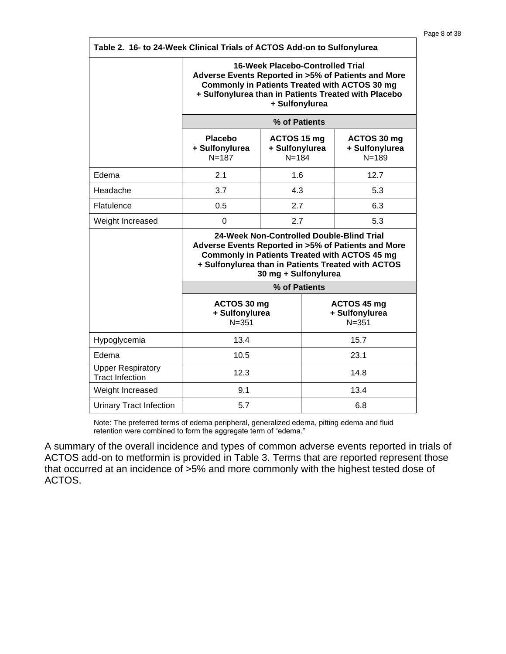| Table 2. 16- to 24-Week Clinical Trials of ACTOS Add-on to Sulfonylurea |                                                                                                                                                                                                                                        |               |                                            |  |  |
|-------------------------------------------------------------------------|----------------------------------------------------------------------------------------------------------------------------------------------------------------------------------------------------------------------------------------|---------------|--------------------------------------------|--|--|
|                                                                         | <b>16-Week Placebo-Controlled Trial</b><br>Adverse Events Reported in >5% of Patients and More<br><b>Commonly in Patients Treated with ACTOS 30 mg</b><br>+ Sulfonylurea than in Patients Treated with Placebo<br>+ Sulfonylurea       |               |                                            |  |  |
|                                                                         | % of Patients                                                                                                                                                                                                                          |               |                                            |  |  |
|                                                                         | <b>Placebo</b><br>ACTOS 15 mg<br>ACTOS 30 mg<br>+ Sulfonylurea<br>+ Sulfonylurea<br>+ Sulfonylurea<br>$N = 187$<br>$N = 184$<br>$N = 189$                                                                                              |               |                                            |  |  |
| Edema                                                                   | 2.1                                                                                                                                                                                                                                    | 1.6           | 12.7                                       |  |  |
| Headache                                                                | 3.7                                                                                                                                                                                                                                    | 4.3           | 5.3                                        |  |  |
| Flatulence                                                              | 0.5                                                                                                                                                                                                                                    | 2.7           | 6.3                                        |  |  |
| Weight Increased                                                        | $\Omega$                                                                                                                                                                                                                               | 2.7           | 5.3                                        |  |  |
|                                                                         | 24-Week Non-Controlled Double-Blind Trial<br>Adverse Events Reported in >5% of Patients and More<br><b>Commonly in Patients Treated with ACTOS 45 mg</b><br>+ Sulfonylurea than in Patients Treated with ACTOS<br>30 mg + Sulfonylurea |               |                                            |  |  |
|                                                                         |                                                                                                                                                                                                                                        | % of Patients |                                            |  |  |
|                                                                         | ACTOS 30 mg<br>+ Sulfonylurea<br>$N = 351$                                                                                                                                                                                             |               | ACTOS 45 mg<br>+ Sulfonylurea<br>$N = 351$ |  |  |
| Hypoglycemia                                                            | 13.4<br>15.7                                                                                                                                                                                                                           |               |                                            |  |  |
| Edema                                                                   | 10.5                                                                                                                                                                                                                                   |               | 23.1                                       |  |  |
| <b>Upper Respiratory</b><br><b>Tract Infection</b>                      | 12.3                                                                                                                                                                                                                                   |               | 14.8                                       |  |  |
| Weight Increased                                                        | 9.1                                                                                                                                                                                                                                    |               | 13.4                                       |  |  |
| <b>Urinary Tract Infection</b>                                          | 5.7<br>6.8                                                                                                                                                                                                                             |               |                                            |  |  |

Note: The preferred terms of edema peripheral, generalized edema, pitting edema and fluid retention were combined to form the aggregate term of "edema."

A summary of the overall incidence and types of common adverse events reported in trials of ACTOS add-on to metformin is provided in Table 3. Terms that are reported represent those that occurred at an incidence of >5% and more commonly with the highest tested dose of ACTOS.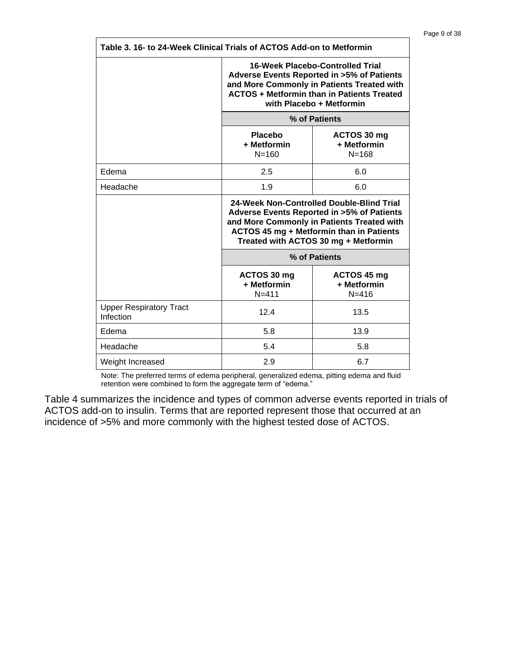| Table 3. 16- to 24-Week Clinical Trials of ACTOS Add-on to Metformin |                                                                                                                                                                                                                           |                                         |  |  |  |
|----------------------------------------------------------------------|---------------------------------------------------------------------------------------------------------------------------------------------------------------------------------------------------------------------------|-----------------------------------------|--|--|--|
|                                                                      | 16-Week Placebo-Controlled Trial<br>Adverse Events Reported in >5% of Patients<br>and More Commonly in Patients Treated with<br><b>ACTOS + Metformin than in Patients Treated</b><br>with Placebo + Metformin             |                                         |  |  |  |
|                                                                      | % of Patients                                                                                                                                                                                                             |                                         |  |  |  |
|                                                                      | Placebo<br>ACTOS 30 mg<br>+ Metformin<br>+ Metformin<br>$N = 160$<br>$N = 168$                                                                                                                                            |                                         |  |  |  |
| Edema                                                                | 2.5<br>6.0                                                                                                                                                                                                                |                                         |  |  |  |
| Headache                                                             | 1.9<br>6.0                                                                                                                                                                                                                |                                         |  |  |  |
|                                                                      | 24-Week Non-Controlled Double-Blind Trial<br>Adverse Events Reported in >5% of Patients<br>and More Commonly in Patients Treated with<br>ACTOS 45 mg + Metformin than in Patients<br>Treated with ACTOS 30 mg + Metformin |                                         |  |  |  |
|                                                                      |                                                                                                                                                                                                                           | % of Patients                           |  |  |  |
|                                                                      | ACTOS 30 mg<br>+ Metformin<br>$N = 411$                                                                                                                                                                                   | ACTOS 45 mg<br>+ Metformin<br>$N = 416$ |  |  |  |
| <b>Upper Respiratory Tract</b><br>Infection                          | 12.4                                                                                                                                                                                                                      | 13.5                                    |  |  |  |
| Edema                                                                | 5.8                                                                                                                                                                                                                       | 13.9                                    |  |  |  |
| Headache                                                             | 5.4                                                                                                                                                                                                                       | 5.8                                     |  |  |  |
| Weight Increased                                                     | 2.9<br>6.7                                                                                                                                                                                                                |                                         |  |  |  |

Note: The preferred terms of edema peripheral, generalized edema, pitting edema and fluid retention were combined to form the aggregate term of "edema."

Table 4 summarizes the incidence and types of common adverse events reported in trials of ACTOS add-on to insulin. Terms that are reported represent those that occurred at an incidence of >5% and more commonly with the highest tested dose of ACTOS.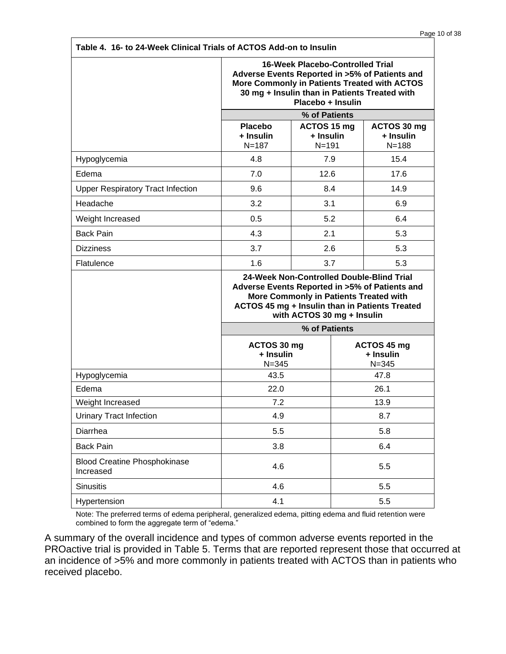| Table 4. 16- to 24-Week Clinical Trials of ACTOS Add-on to Insulin |                                                                                                                                                                                                                       |                                       |  |                                       |  |
|--------------------------------------------------------------------|-----------------------------------------------------------------------------------------------------------------------------------------------------------------------------------------------------------------------|---------------------------------------|--|---------------------------------------|--|
|                                                                    | <b>16-Week Placebo-Controlled Trial</b><br>Adverse Events Reported in >5% of Patients and<br>More Commonly in Patients Treated with ACTOS<br>30 mg + Insulin than in Patients Treated with<br>Placebo + Insulin       |                                       |  |                                       |  |
|                                                                    |                                                                                                                                                                                                                       | % of Patients                         |  |                                       |  |
|                                                                    | Placebo<br>+ Insulin<br>$N = 187$                                                                                                                                                                                     | ACTOS 15 mg<br>+ Insulin<br>$N = 191$ |  | ACTOS 30 mg<br>+ Insulin<br>$N = 188$ |  |
| Hypoglycemia                                                       | 4.8                                                                                                                                                                                                                   | 7.9                                   |  | 15.4                                  |  |
| Edema                                                              | 7.0                                                                                                                                                                                                                   | 12.6                                  |  | 17.6                                  |  |
| <b>Upper Respiratory Tract Infection</b>                           | 9.6                                                                                                                                                                                                                   | 8.4                                   |  | 14.9                                  |  |
| Headache                                                           | 3.2                                                                                                                                                                                                                   | 3.1                                   |  | 6.9                                   |  |
| Weight Increased                                                   | 0.5                                                                                                                                                                                                                   | 5.2                                   |  | 6.4                                   |  |
| <b>Back Pain</b>                                                   | 4.3                                                                                                                                                                                                                   | 2.1                                   |  | 5.3                                   |  |
| <b>Dizziness</b>                                                   | 3.7                                                                                                                                                                                                                   | 2.6                                   |  | 5.3                                   |  |
| Flatulence                                                         | 1.6                                                                                                                                                                                                                   | 3.7                                   |  | 5.3                                   |  |
|                                                                    | 24-Week Non-Controlled Double-Blind Trial<br>Adverse Events Reported in >5% of Patients and<br>More Commonly in Patients Treated with<br>ACTOS 45 mg + Insulin than in Patients Treated<br>with ACTOS 30 mg + Insulin |                                       |  |                                       |  |
|                                                                    |                                                                                                                                                                                                                       | % of Patients                         |  |                                       |  |
|                                                                    | $N = 345$                                                                                                                                                                                                             | ACTOS 30 mg<br>+ Insulin              |  | ACTOS 45 mg<br>+ Insulin<br>$N = 345$ |  |
| Hypoglycemia                                                       | 43.5                                                                                                                                                                                                                  |                                       |  | 47.8                                  |  |
| Edema                                                              | 22.0                                                                                                                                                                                                                  |                                       |  | 26.1                                  |  |
| Weight Increased                                                   | 7.2                                                                                                                                                                                                                   |                                       |  | 13.9                                  |  |
| <b>Urinary Tract Infection</b>                                     | 4.9                                                                                                                                                                                                                   |                                       |  | 8.7                                   |  |
| Diarrhea                                                           | 5.5                                                                                                                                                                                                                   |                                       |  | 5.8                                   |  |
| <b>Back Pain</b>                                                   | 3.8                                                                                                                                                                                                                   |                                       |  | 6.4                                   |  |
| <b>Blood Creatine Phosphokinase</b><br>Increased                   | 4.6                                                                                                                                                                                                                   |                                       |  | 5.5                                   |  |
| <b>Sinusitis</b>                                                   | 4.6                                                                                                                                                                                                                   |                                       |  | 5.5                                   |  |
| Hypertension                                                       | 4.1                                                                                                                                                                                                                   |                                       |  | 5.5                                   |  |

Note: The preferred terms of edema peripheral, generalized edema, pitting edema and fluid retention were combined to form the aggregate term of "edema."

A summary of the overall incidence and types of common adverse events reported in the PROactive trial is provided in Table 5. Terms that are reported represent those that occurred at an incidence of >5% and more commonly in patients treated with ACTOS than in patients who received placebo.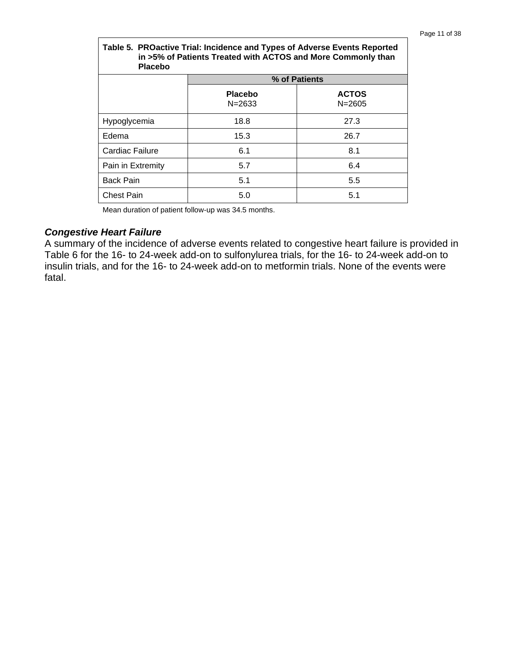| Table 5. PROactive Trial: Incidence and Types of Adverse Events Reported<br>in >5% of Patients Treated with ACTOS and More Commonly than<br><b>Placebo</b> |                       |                            |  |
|------------------------------------------------------------------------------------------------------------------------------------------------------------|-----------------------|----------------------------|--|
|                                                                                                                                                            |                       | % of Patients              |  |
|                                                                                                                                                            | Placebo<br>$N = 2633$ | <b>ACTOS</b><br>$N = 2605$ |  |
| Hypoglycemia                                                                                                                                               | 18.8                  | 27.3                       |  |
| Edema                                                                                                                                                      | 15.3                  | 26.7                       |  |
| Cardiac Failure                                                                                                                                            | 6.1                   | 8.1                        |  |
| Pain in Extremity                                                                                                                                          | 5.7                   | 6.4                        |  |
| <b>Back Pain</b>                                                                                                                                           | 5.1                   | 5.5                        |  |
| <b>Chest Pain</b>                                                                                                                                          | 5.0                   | 5.1                        |  |

Mean duration of patient follow-up was 34.5 months.

#### *Congestive Heart Failure*

A summary of the incidence of adverse events related to congestive heart failure is provided in Table 6 for the 16- to 24-week add-on to sulfonylurea trials, for the 16- to 24-week add-on to insulin trials, and for the 16- to 24-week add-on to metformin trials. None of the events were fatal.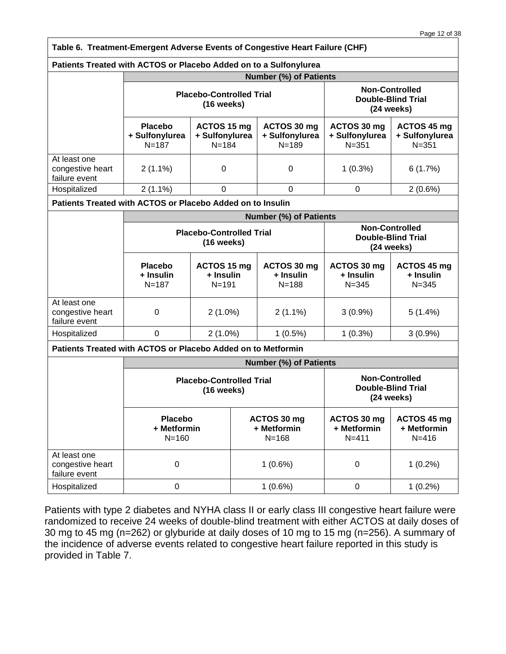|                                                                   |                                                                                                                     |                                            | Table 6. Treatment-Emergent Adverse Events of Congestive Heart Failure (CHF) |                                                                    |                                                                  |
|-------------------------------------------------------------------|---------------------------------------------------------------------------------------------------------------------|--------------------------------------------|------------------------------------------------------------------------------|--------------------------------------------------------------------|------------------------------------------------------------------|
| Patients Treated with ACTOS or Placebo Added on to a Sulfonylurea |                                                                                                                     |                                            |                                                                              |                                                                    |                                                                  |
|                                                                   |                                                                                                                     |                                            | <b>Number (%) of Patients</b>                                                |                                                                    |                                                                  |
|                                                                   | <b>Placebo-Controlled Trial</b><br>$(16$ weeks)                                                                     |                                            |                                                                              | <b>Non-Controlled</b><br><b>Double-Blind Trial</b><br>$(24$ weeks) |                                                                  |
|                                                                   | Placebo<br>+ Sulfonylurea<br>$N = 187$                                                                              | ACTOS 15 mg<br>+ Sulfonylurea<br>$N = 184$ | ACTOS 30 mg<br>+ Sulfonylurea<br>$N = 189$                                   | ACTOS 30 mg<br>+ Sulfonylurea<br>$N = 351$                         | ACTOS 45 mg<br>+ Sulfonylurea<br>$N = 351$                       |
| At least one<br>congestive heart<br>failure event                 | $2(1.1\%)$                                                                                                          | $\mathbf 0$                                | 0                                                                            | $1(0.3\%)$                                                         | 6(1.7%)                                                          |
| Hospitalized                                                      | $2(1.1\%)$                                                                                                          | $\mathbf 0$                                | $\Omega$                                                                     | $\mathbf 0$                                                        | 2(0.6%)                                                          |
| Patients Treated with ACTOS or Placebo Added on to Insulin        |                                                                                                                     |                                            |                                                                              |                                                                    |                                                                  |
|                                                                   |                                                                                                                     |                                            | <b>Number (%) of Patients</b>                                                |                                                                    |                                                                  |
|                                                                   | <b>Placebo-Controlled Trial</b><br>$(16$ weeks)                                                                     |                                            |                                                                              |                                                                    | <b>Non-Controlled</b><br><b>Double-Blind Trial</b><br>(24 weeks) |
|                                                                   | <b>Placebo</b><br>+ Insulin<br>$N = 187$                                                                            | ACTOS 15 mg<br>+ Insulin<br>$N = 191$      | ACTOS 30 mg<br>+ Insulin<br>$N = 188$                                        | ACTOS 30 mg<br>+ Insulin<br>$N = 345$                              | ACTOS 45 mg<br>+ Insulin<br>$N = 345$                            |
| At least one<br>congestive heart<br>failure event                 | 0                                                                                                                   | $2(1.0\%)$                                 | $2(1.1\%)$                                                                   | $3(0.9\%)$                                                         | 5(1.4%)                                                          |
| Hospitalized                                                      | $\mathbf 0$                                                                                                         | $2(1.0\%)$                                 | $1(0.5\%)$                                                                   | $1(0.3\%)$                                                         | $3(0.9\%)$                                                       |
| Patients Treated with ACTOS or Placebo Added on to Metformin      |                                                                                                                     |                                            |                                                                              |                                                                    |                                                                  |
|                                                                   |                                                                                                                     |                                            | <b>Number (%) of Patients</b>                                                |                                                                    |                                                                  |
|                                                                   | <b>Non-Controlled</b><br><b>Placebo-Controlled Trial</b><br><b>Double-Blind Trial</b><br>(16 weeks)<br>$(24$ weeks) |                                            |                                                                              |                                                                    |                                                                  |
|                                                                   | <b>Placebo</b><br>+ Metformin<br>$N = 160$                                                                          |                                            | ACTOS 30 mg<br>+ Metformin<br>$N = 168$                                      | ACTOS 30 mg<br>+ Metformin<br>$N = 411$                            | ACTOS 45 mg<br>+ Metformin<br>$N = 416$                          |
| At least one<br>congestive heart<br>failure event                 | 0                                                                                                                   |                                            | $1(0.6\%)$                                                                   | $\mathbf 0$                                                        | $1(0.2\%)$                                                       |
| Hospitalized                                                      | 0                                                                                                                   |                                            | $1(0.6\%)$                                                                   | $\pmb{0}$                                                          | $1(0.2\%)$                                                       |

Patients with type 2 diabetes and NYHA class II or early class III congestive heart failure were randomized to receive 24 weeks of double-blind treatment with either ACTOS at daily doses of 30 mg to 45 mg (n=262) or glyburide at daily doses of 10 mg to 15 mg (n=256). A summary of the incidence of adverse events related to congestive heart failure reported in this study is provided in Table 7.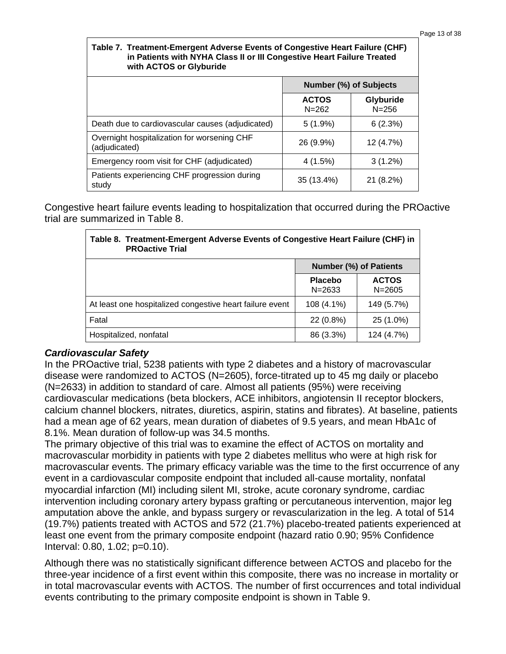#### **Table 7. Treatment-Emergent Adverse Events of Congestive Heart Failure (CHF) in Patients with NYHA Class II or III Congestive Heart Failure Treated with ACTOS or Glyburide**

| <b>WITH ACTOS OF GIVOUTIGE</b>                               |                           |                        |  |  |
|--------------------------------------------------------------|---------------------------|------------------------|--|--|
|                                                              | Number (%) of Subjects    |                        |  |  |
|                                                              | <b>ACTOS</b><br>$N = 262$ | Glyburide<br>$N = 256$ |  |  |
| Death due to cardiovascular causes (adjudicated)             | $5(1.9\%)$                | 6(2.3%)                |  |  |
| Overnight hospitalization for worsening CHF<br>(adjudicated) | 26 (9.9%)                 | 12 (4.7%)              |  |  |
| Emergency room visit for CHF (adjudicated)                   | 4(1.5%)                   | $3(1.2\%)$             |  |  |
| Patients experiencing CHF progression during<br>study        | 35 (13.4%)                | 21 (8.2%)              |  |  |

Congestive heart failure events leading to hospitalization that occurred during the PROactive trial are summarized in Table 8.

| Table 8. Treatment-Emergent Adverse Events of Congestive Heart Failure (CHF) in<br><b>PROactive Trial</b> |                              |                               |  |  |
|-----------------------------------------------------------------------------------------------------------|------------------------------|-------------------------------|--|--|
|                                                                                                           |                              | <b>Number (%) of Patients</b> |  |  |
|                                                                                                           | <b>Placebo</b><br>$N = 2633$ | <b>ACTOS</b><br>$N = 2605$    |  |  |
| At least one hospitalized congestive heart failure event                                                  | 108 (4.1%)                   | 149 (5.7%)                    |  |  |
| Fatal                                                                                                     | 22 (0.8%)                    | 25 (1.0%)                     |  |  |
| Hospitalized, nonfatal                                                                                    | 86 (3.3%)                    | 124 (4.7%)                    |  |  |

### *Cardiovascular Safety*

In the PROactive trial, 5238 patients with type 2 diabetes and a history of macrovascular disease were randomized to ACTOS (N=2605), force-titrated up to 45 mg daily or placebo (N=2633) in addition to standard of care. Almost all patients (95%) were receiving cardiovascular medications (beta blockers, ACE inhibitors, angiotensin II receptor blockers, calcium channel blockers, nitrates, diuretics, aspirin, statins and fibrates). At baseline, patients had a mean age of 62 years, mean duration of diabetes of 9.5 years, and mean HbA1c of 8.1%. Mean duration of follow-up was 34.5 months.

The primary objective of this trial was to examine the effect of ACTOS on mortality and macrovascular morbidity in patients with type 2 diabetes mellitus who were at high risk for macrovascular events. The primary efficacy variable was the time to the first occurrence of any event in a cardiovascular composite endpoint that included all-cause mortality, nonfatal myocardial infarction (MI) including silent MI, stroke, acute coronary syndrome, cardiac intervention including coronary artery bypass grafting or percutaneous intervention, major leg amputation above the ankle, and bypass surgery or revascularization in the leg. A total of 514 (19.7%) patients treated with ACTOS and 572 (21.7%) placebo-treated patients experienced at least one event from the primary composite endpoint (hazard ratio 0.90; 95% Confidence Interval: 0.80, 1.02; p=0.10).

Although there was no statistically significant difference between ACTOS and placebo for the three-year incidence of a first event within this composite, there was no increase in mortality or in total macrovascular events with ACTOS. The number of first occurrences and total individual events contributing to the primary composite endpoint is shown in Table 9.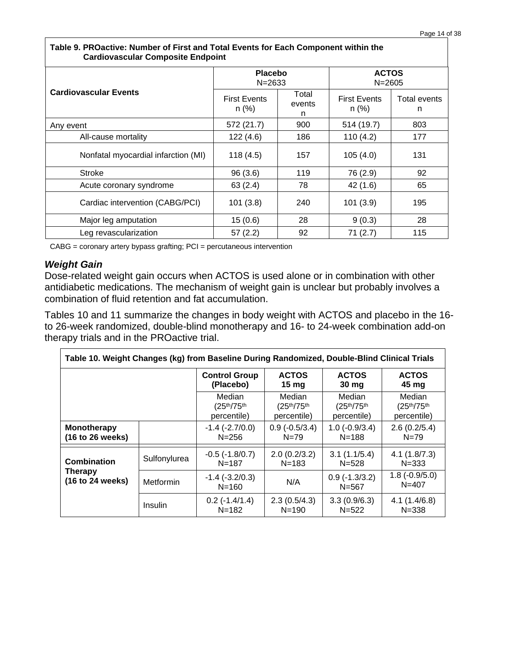| Cardiovascular Composite Endpoint   |                              |                      |                                |                   |  |
|-------------------------------------|------------------------------|----------------------|--------------------------------|-------------------|--|
|                                     | <b>Placebo</b><br>$N = 2633$ |                      | <b>ACTOS</b><br>$N = 2605$     |                   |  |
| <b>Cardiovascular Events</b>        | <b>First Events</b><br>n (%) | Total<br>events<br>n | <b>First Events</b><br>$n$ (%) | Total events<br>n |  |
| Any event                           | 572 (21.7)                   | 900                  | 514 (19.7)                     | 803               |  |
| All-cause mortality                 | 122(4.6)                     | 186                  | 110(4.2)                       | 177               |  |
| Nonfatal myocardial infarction (MI) | 118(4.5)                     | 157                  | 105(4.0)                       | 131               |  |
| <b>Stroke</b>                       | 96(3.6)                      | 119                  | 76 (2.9)                       | 92                |  |
| Acute coronary syndrome             | 63(2.4)                      | 78                   | 42 (1.6)                       | 65                |  |
| Cardiac intervention (CABG/PCI)     | 101(3.8)                     | 240                  | 101(3.9)                       | 195               |  |
| Major leg amputation                | 15(0.6)                      | 28                   | 9(0.3)                         | 28                |  |
| Leg revascularization               | 57(2.2)                      | 92                   | 71(2.7)                        | 115               |  |

#### **Table 9. PROactive: Number of First and Total Events for Each Component within the Cardiovascular Composite Endpoint**

CABG = coronary artery bypass grafting; PCI = percutaneous intervention

#### *Weight Gain*

Dose-related weight gain occurs when ACTOS is used alone or in combination with other antidiabetic medications. The mechanism of weight gain is unclear but probably involves a combination of fluid retention and fat accumulation.

Tables 10 and 11 summarize the changes in body weight with ACTOS and placebo in the 16 to 26-week randomized, double-blind monotherapy and 16- to 24-week combination add-on therapy trials and in the PROactive trial.

| Table 10. Weight Changes (kg) from Baseline During Randomized, Double-Blind Clinical Trials |              |                                     |                                                                |                                     |                                     |
|---------------------------------------------------------------------------------------------|--------------|-------------------------------------|----------------------------------------------------------------|-------------------------------------|-------------------------------------|
|                                                                                             |              | <b>Control Group</b><br>(Placebo)   | <b>ACTOS</b><br>15 <sub>mg</sub>                               | <b>ACTOS</b><br>30 mg               | <b>ACTOS</b><br>45 mg               |
|                                                                                             |              | Median<br>(25th/75th<br>percentile) | Median<br>(25 <sup>th</sup> /75 <sup>th</sup> )<br>percentile) | Median<br>(25th/75th<br>percentile) | Median<br>(25th/75th<br>percentile) |
| Monotherapy<br>(16 to 26 weeks)                                                             |              | $-1.4$ $(-2.7/0.0)$<br>$N = 256$    | $0.9(-0.5/3.4)$<br>$N = 79$                                    | $1.0(-0.9/3.4)$<br>$N = 188$        | 2.6(0.2/5.4)<br>$N = 79$            |
| Combination                                                                                 | Sulfonylurea | $-0.5$ ( $-1.8/0.7$ )<br>$N = 187$  | 2.0(0.2/3.2)<br>$N = 183$                                      | 3.1(1.1/5.4)<br>$N = 528$           | 4.1(1.8/7.3)<br>$N = 333$           |
| <b>Therapy</b><br>(16 to 24 weeks)                                                          | Metformin    | $-1.4$ ( $-3.2/0.3$ )<br>$N = 160$  | N/A                                                            | $0.9$ ( $-1.3/3.2$ )<br>$N = 567$   | $1.8(-0.9/5.0)$<br>$N = 407$        |
|                                                                                             | Insulin      | $0.2$ (-1.4/1.4)<br>$N = 182$       | 2.3(0.5/4.3)<br>$N = 190$                                      | 3.3(0.9/6.3)<br>$N = 522$           | 4.1(1.4/6.8)<br>$N = 338$           |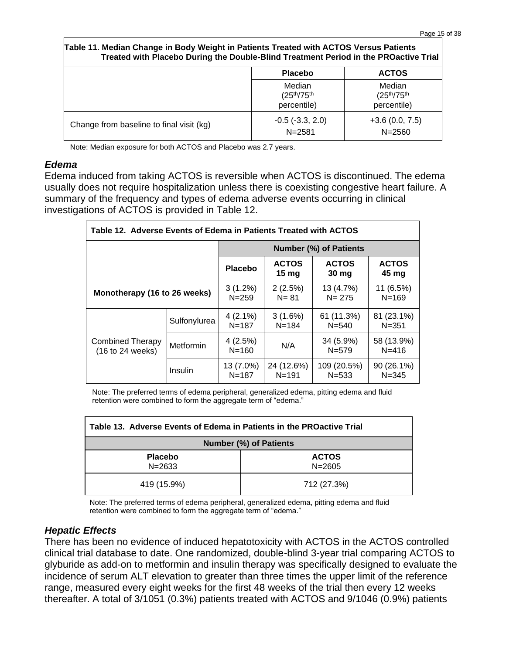| Table 11. Median Change in Body Weight in Patients Treated with ACTOS Versus Patients<br>Treated with Placebo During the Double-Blind Treatment Period in the PROactive Trial |                                               |                                               |
|-------------------------------------------------------------------------------------------------------------------------------------------------------------------------------|-----------------------------------------------|-----------------------------------------------|
|                                                                                                                                                                               | <b>Placebo</b>                                | <b>ACTOS</b>                                  |
|                                                                                                                                                                               | Median<br>$\epsilon = -1$ . $\epsilon = -1$ . | Median<br>$\epsilon = -1$ . $\epsilon = -1$ . |

|                                          | Median<br>$(25^{th}/75^{th})$<br>percentile) | Median<br>$(25^{th}/75^{th})$<br>percentile) |
|------------------------------------------|----------------------------------------------|----------------------------------------------|
| Change from baseline to final visit (kg) | $-0.5$ ( $-3.3, 2.0$ )<br>$N = 2581$         | $+3.6(0.0, 7.5)$<br>$N = 2560$               |

Note: Median exposure for both ACTOS and Placebo was 2.7 years.

#### *Edema*

Edema induced from taking ACTOS is reversible when ACTOS is discontinued. The edema usually does not require hospitalization unless there is coexisting congestive heart failure. A summary of the frequency and types of edema adverse events occurring in clinical investigations of ACTOS is provided in Table 12.

| Table 12. Adverse Events of Edema in Patients Treated with ACTOS |              |                                                                                                 |                         |                          |                         |
|------------------------------------------------------------------|--------------|-------------------------------------------------------------------------------------------------|-------------------------|--------------------------|-------------------------|
|                                                                  |              | <b>Number (%) of Patients</b>                                                                   |                         |                          |                         |
|                                                                  |              | <b>ACTOS</b><br><b>ACTOS</b><br><b>ACTOS</b><br>Placebo<br>$15 \,\mathrm{mg}$<br>30 mg<br>45 mg |                         |                          |                         |
| Monotherapy (16 to 26 weeks)                                     |              | $3(1.2\%)$<br>$N = 259$                                                                         | 2(2.5%)<br>$N = 81$     | 13 (4.7%)<br>$N = 275$   | 11 (6.5%)<br>$N = 169$  |
| <b>Combined Therapy</b><br>(16 to 24 weeks)                      | Sulfonylurea | $4(2.1\%)$<br>$N = 187$                                                                         | 3(1.6%)<br>$N = 184$    | 61 (11.3%)<br>$N = 540$  | 81 (23.1%)<br>$N = 351$ |
|                                                                  | Metformin    | 4(2.5%)<br>$N = 160$                                                                            | N/A                     | 34 (5.9%)<br>$N = 579$   | 58 (13.9%)<br>$N = 416$ |
|                                                                  | Insulin      | 13 (7.0%)<br>$N = 187$                                                                          | 24 (12.6%)<br>$N = 191$ | 109 (20.5%)<br>$N = 533$ | 90 (26.1%)<br>$N = 345$ |

Note: The preferred terms of edema peripheral, generalized edema, pitting edema and fluid retention were combined to form the aggregate term of "edema."

| Table 13. Adverse Events of Edema in Patients in the PROactive Trial |             |  |  |  |
|----------------------------------------------------------------------|-------------|--|--|--|
| <b>Number (%) of Patients</b>                                        |             |  |  |  |
| <b>ACTOS</b><br><b>Placebo</b><br>$N = 2633$<br>$N = 2605$           |             |  |  |  |
| 419 (15.9%)                                                          | 712 (27.3%) |  |  |  |

Note: The preferred terms of edema peripheral, generalized edema, pitting edema and fluid retention were combined to form the aggregate term of "edema."

#### *Hepatic Effects*

There has been no evidence of induced hepatotoxicity with ACTOS in the ACTOS controlled clinical trial database to date. One randomized, double-blind 3-year trial comparing ACTOS to glyburide as add-on to metformin and insulin therapy was specifically designed to evaluate the incidence of serum ALT elevation to greater than three times the upper limit of the reference range, measured every eight weeks for the first 48 weeks of the trial then every 12 weeks thereafter. A total of 3/1051 (0.3%) patients treated with ACTOS and 9/1046 (0.9%) patients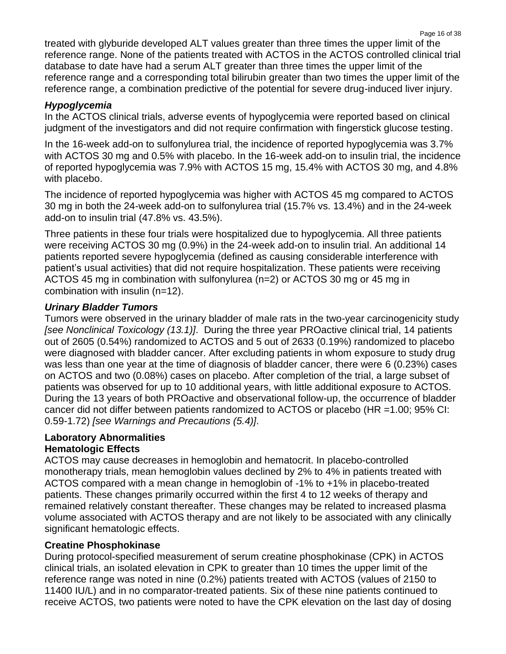treated with glyburide developed ALT values greater than three times the upper limit of the reference range. None of the patients treated with ACTOS in the ACTOS controlled clinical trial database to date have had a serum ALT greater than three times the upper limit of the reference range and a corresponding total bilirubin greater than two times the upper limit of the reference range, a combination predictive of the potential for severe drug-induced liver injury.

# *Hypoglycemia*

In the ACTOS clinical trials, adverse events of hypoglycemia were reported based on clinical judgment of the investigators and did not require confirmation with fingerstick glucose testing.

In the 16-week add-on to sulfonylurea trial, the incidence of reported hypoglycemia was 3.7% with ACTOS 30 mg and 0.5% with placebo. In the 16-week add-on to insulin trial, the incidence of reported hypoglycemia was 7.9% with ACTOS 15 mg, 15.4% with ACTOS 30 mg, and 4.8% with placebo.

The incidence of reported hypoglycemia was higher with ACTOS 45 mg compared to ACTOS 30 mg in both the 24-week add-on to sulfonylurea trial (15.7% vs. 13.4%) and in the 24-week add-on to insulin trial (47.8% vs. 43.5%).

Three patients in these four trials were hospitalized due to hypoglycemia. All three patients were receiving ACTOS 30 mg (0.9%) in the 24-week add-on to insulin trial. An additional 14 patients reported severe hypoglycemia (defined as causing considerable interference with patient's usual activities) that did not require hospitalization. These patients were receiving ACTOS 45 mg in combination with sulfonylurea (n=2) or ACTOS 30 mg or 45 mg in combination with insulin (n=12).

# *Urinary Bladder Tumors*

Tumors were observed in the urinary bladder of male rats in the two-year carcinogenicity study *[see Nonclinical Toxicology (13.1)]*. During the three year PROactive clinical trial, 14 patients out of 2605 (0.54%) randomized to ACTOS and 5 out of 2633 (0.19%) randomized to placebo were diagnosed with bladder cancer. After excluding patients in whom exposure to study drug was less than one year at the time of diagnosis of bladder cancer, there were 6 (0.23%) cases on ACTOS and two (0.08%) cases on placebo. After completion of the trial, a large subset of patients was observed for up to 10 additional years, with little additional exposure to ACTOS. During the 13 years of both PROactive and observational follow-up, the occurrence of bladder cancer did not differ between patients randomized to ACTOS or placebo (HR =1.00; 95% CI: 0.59-1.72) *[see Warnings and Precautions (5.4)]*.

### **Laboratory Abnormalities Hematologic Effects**

ACTOS may cause decreases in hemoglobin and hematocrit. In placebo-controlled monotherapy trials, mean hemoglobin values declined by 2% to 4% in patients treated with ACTOS compared with a mean change in hemoglobin of -1% to +1% in placebo-treated patients. These changes primarily occurred within the first 4 to 12 weeks of therapy and remained relatively constant thereafter. These changes may be related to increased plasma volume associated with ACTOS therapy and are not likely to be associated with any clinically significant hematologic effects.

# **Creatine Phosphokinase**

During protocol-specified measurement of serum creatine phosphokinase (CPK) in ACTOS clinical trials, an isolated elevation in CPK to greater than 10 times the upper limit of the reference range was noted in nine (0.2%) patients treated with ACTOS (values of 2150 to 11400 IU/L) and in no comparator-treated patients. Six of these nine patients continued to receive ACTOS, two patients were noted to have the CPK elevation on the last day of dosing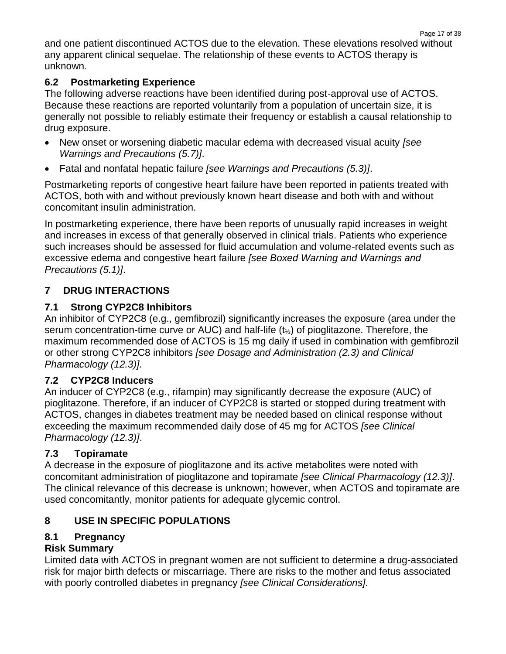and one patient discontinued ACTOS due to the elevation. These elevations resolved without any apparent clinical sequelae. The relationship of these events to ACTOS therapy is unknown.

# **6.2 Postmarketing Experience**

The following adverse reactions have been identified during post-approval use of ACTOS. Because these reactions are reported voluntarily from a population of uncertain size, it is generally not possible to reliably estimate their frequency or establish a causal relationship to drug exposure.

- New onset or worsening diabetic macular edema with decreased visual acuity *[see Warnings and Precautions (5.7)]*.
- Fatal and nonfatal hepatic failure *[see Warnings and Precautions (5.3)]*.

Postmarketing reports of congestive heart failure have been reported in patients treated with ACTOS, both with and without previously known heart disease and both with and without concomitant insulin administration.

In postmarketing experience, there have been reports of unusually rapid increases in weight and increases in excess of that generally observed in clinical trials. Patients who experience such increases should be assessed for fluid accumulation and volume-related events such as excessive edema and congestive heart failure *[see Boxed Warning and Warnings and Precautions (5.1)]*.

# **7 DRUG INTERACTIONS**

# **7.1 Strong CYP2C8 Inhibitors**

An inhibitor of CYP2C8 (e.g., gemfibrozil) significantly increases the exposure (area under the serum concentration-time curve or AUC) and half-life (t½) of pioglitazone. Therefore, the maximum recommended dose of ACTOS is 15 mg daily if used in combination with gemfibrozil or other strong CYP2C8 inhibitors *[see Dosage and Administration (2.3) and Clinical Pharmacology (12.3)].*

# **7.2 CYP2C8 Inducers**

An inducer of CYP2C8 (e.g., rifampin) may significantly decrease the exposure (AUC) of pioglitazone. Therefore, if an inducer of CYP2C8 is started or stopped during treatment with ACTOS, changes in diabetes treatment may be needed based on clinical response without exceeding the maximum recommended daily dose of 45 mg for ACTOS *[see Clinical Pharmacology (12.3)]*.

# **7.3 Topiramate**

A decrease in the exposure of pioglitazone and its active metabolites were noted with concomitant administration of pioglitazone and topiramate *[see Clinical Pharmacology (12.3)]*. The clinical relevance of this decrease is unknown; however, when ACTOS and topiramate are used concomitantly, monitor patients for adequate glycemic control.

# **8 USE IN SPECIFIC POPULATIONS**

# **8.1 Pregnancy**

# **Risk Summary**

Limited data with ACTOS in pregnant women are not sufficient to determine a drug-associated risk for major birth defects or miscarriage. There are risks to the mother and fetus associated with poorly controlled diabetes in pregnancy *[see Clinical Considerations].*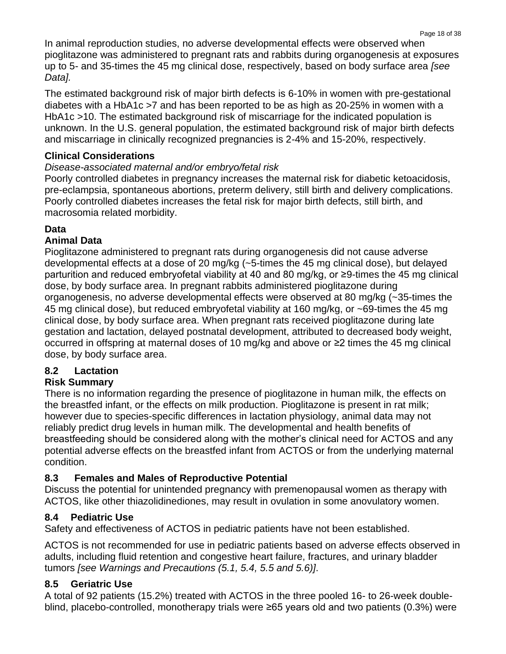In animal reproduction studies, no adverse developmental effects were observed when pioglitazone was administered to pregnant rats and rabbits during organogenesis at exposures up to 5- and 35-times the 45 mg clinical dose, respectively, based on body surface area *[see Data].*

The estimated background risk of major birth defects is 6-10% in women with pre-gestational diabetes with a HbA1c >7 and has been reported to be as high as 20-25% in women with a HbA1c >10. The estimated background risk of miscarriage for the indicated population is unknown. In the U.S. general population, the estimated background risk of major birth defects and miscarriage in clinically recognized pregnancies is 2-4% and 15-20%, respectively.

# **Clinical Considerations**

# *Disease-associated maternal and/or embryo/fetal risk*

Poorly controlled diabetes in pregnancy increases the maternal risk for diabetic ketoacidosis, pre-eclampsia, spontaneous abortions, preterm delivery, still birth and delivery complications. Poorly controlled diabetes increases the fetal risk for major birth defects, still birth, and macrosomia related morbidity.

# **Data**

# **Animal Data**

Pioglitazone administered to pregnant rats during organogenesis did not cause adverse developmental effects at a dose of 20 mg/kg (~5-times the 45 mg clinical dose), but delayed parturition and reduced embryofetal viability at 40 and 80 mg/kg, or ≥9-times the 45 mg clinical dose, by body surface area. In pregnant rabbits administered pioglitazone during organogenesis, no adverse developmental effects were observed at 80 mg/kg (~35-times the 45 mg clinical dose), but reduced embryofetal viability at 160 mg/kg, or ~69-times the 45 mg clinical dose, by body surface area. When pregnant rats received pioglitazone during late gestation and lactation, delayed postnatal development, attributed to decreased body weight, occurred in offspring at maternal doses of 10 mg/kg and above or ≥2 times the 45 mg clinical dose, by body surface area.

# **8.2 Lactation**

# **Risk Summary**

There is no information regarding the presence of pioglitazone in human milk, the effects on the breastfed infant, or the effects on milk production. Pioglitazone is present in rat milk; however due to species-specific differences in lactation physiology, animal data may not reliably predict drug levels in human milk. The developmental and health benefits of breastfeeding should be considered along with the mother's clinical need for ACTOS and any potential adverse effects on the breastfed infant from ACTOS or from the underlying maternal condition.

# **8.3 Females and Males of Reproductive Potential**

Discuss the potential for unintended pregnancy with premenopausal women as therapy with ACTOS, like other thiazolidinediones, may result in ovulation in some anovulatory women.

# **8.4 Pediatric Use**

Safety and effectiveness of ACTOS in pediatric patients have not been established.

ACTOS is not recommended for use in pediatric patients based on adverse effects observed in adults, including fluid retention and congestive heart failure, fractures, and urinary bladder tumors *[see Warnings and Precautions (5.1, 5.4, 5.5 and 5.6)]*.

# **8.5 Geriatric Use**

A total of 92 patients (15.2%) treated with ACTOS in the three pooled 16- to 26-week doubleblind, placebo-controlled, monotherapy trials were ≥65 years old and two patients (0.3%) were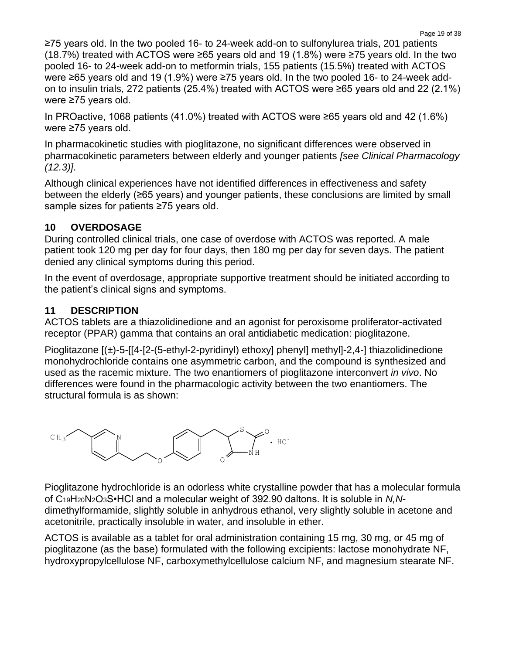Page 19 of 38

≥75 years old. In the two pooled 16- to 24-week add-on to sulfonylurea trials, 201 patients (18.7%) treated with ACTOS were ≥65 years old and 19 (1.8%) were ≥75 years old. In the two pooled 16- to 24-week add-on to metformin trials, 155 patients (15.5%) treated with ACTOS were ≥65 years old and 19 (1.9%) were ≥75 years old. In the two pooled 16- to 24-week addon to insulin trials, 272 patients (25.4%) treated with ACTOS were ≥65 years old and 22 (2.1%) were ≥75 years old.

In PROactive, 1068 patients (41.0%) treated with ACTOS were ≥65 years old and 42 (1.6%) were ≥75 years old.

In pharmacokinetic studies with pioglitazone, no significant differences were observed in pharmacokinetic parameters between elderly and younger patients *[see Clinical Pharmacology (12.3)]*.

Although clinical experiences have not identified differences in effectiveness and safety between the elderly (≥65 years) and younger patients, these conclusions are limited by small sample sizes for patients ≥75 years old.

# **10 OVERDOSAGE**

During controlled clinical trials, one case of overdose with ACTOS was reported. A male patient took 120 mg per day for four days, then 180 mg per day for seven days. The patient denied any clinical symptoms during this period.

In the event of overdosage, appropriate supportive treatment should be initiated according to the patient's clinical signs and symptoms.

# **11 DESCRIPTION**

ACTOS tablets are a thiazolidinedione and an agonist for peroxisome proliferator-activated receptor (PPAR) gamma that contains an oral antidiabetic medication: pioglitazone.

Pioglitazone [(±)-5-[[4-[2-(5-ethyl-2-pyridinyl) ethoxy] phenyl] methyl]-2,4-] thiazolidinedione monohydrochloride contains one asymmetric carbon, and the compound is synthesized and used as the racemic mixture. The two enantiomers of pioglitazone interconvert *in vivo*. No differences were found in the pharmacologic activity between the two enantiomers. The structural formula is as shown:



Pioglitazone hydrochloride is an odorless white crystalline powder that has a molecular formula of C19H20N2O3S•HCl and a molecular weight of 392.90 daltons. It is soluble in *N,N*dimethylformamide, slightly soluble in anhydrous ethanol, very slightly soluble in acetone and acetonitrile, practically insoluble in water, and insoluble in ether.

ACTOS is available as a tablet for oral administration containing 15 mg, 30 mg, or 45 mg of pioglitazone (as the base) formulated with the following excipients: lactose monohydrate NF, hydroxypropylcellulose NF, carboxymethylcellulose calcium NF, and magnesium stearate NF.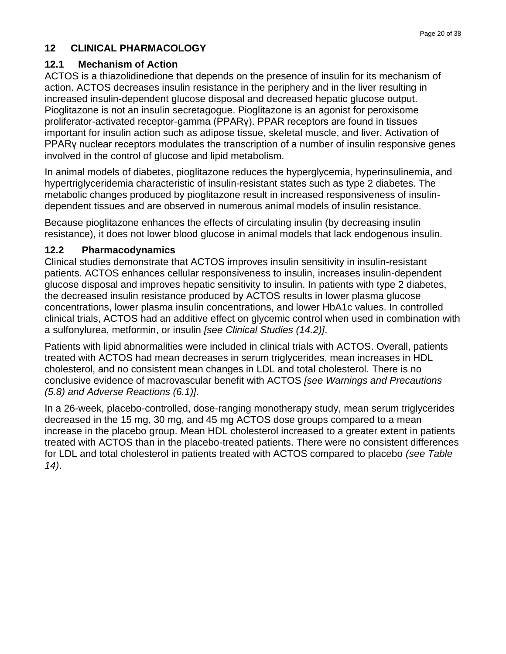# **12 CLINICAL PHARMACOLOGY**

### **12.1 Mechanism of Action**

ACTOS is a thiazolidinedione that depends on the presence of insulin for its mechanism of action. ACTOS decreases insulin resistance in the periphery and in the liver resulting in increased insulin-dependent glucose disposal and decreased hepatic glucose output. Pioglitazone is not an insulin secretagogue. Pioglitazone is an agonist for peroxisome proliferator-activated receptor-gamma (PPARγ). PPAR receptors are found in tissues important for insulin action such as adipose tissue, skeletal muscle, and liver. Activation of PPARγ nuclear receptors modulates the transcription of a number of insulin responsive genes involved in the control of glucose and lipid metabolism.

In animal models of diabetes, pioglitazone reduces the hyperglycemia, hyperinsulinemia, and hypertriglyceridemia characteristic of insulin-resistant states such as type 2 diabetes. The metabolic changes produced by pioglitazone result in increased responsiveness of insulindependent tissues and are observed in numerous animal models of insulin resistance.

Because pioglitazone enhances the effects of circulating insulin (by decreasing insulin resistance), it does not lower blood glucose in animal models that lack endogenous insulin.

### **12.2 Pharmacodynamics**

Clinical studies demonstrate that ACTOS improves insulin sensitivity in insulin-resistant patients. ACTOS enhances cellular responsiveness to insulin, increases insulin-dependent glucose disposal and improves hepatic sensitivity to insulin. In patients with type 2 diabetes, the decreased insulin resistance produced by ACTOS results in lower plasma glucose concentrations, lower plasma insulin concentrations, and lower HbA1c values. In controlled clinical trials, ACTOS had an additive effect on glycemic control when used in combination with a sulfonylurea, metformin, or insulin *[see Clinical Studies (14.2)]*.

Patients with lipid abnormalities were included in clinical trials with ACTOS. Overall, patients treated with ACTOS had mean decreases in serum triglycerides, mean increases in HDL cholesterol, and no consistent mean changes in LDL and total cholesterol. There is no conclusive evidence of macrovascular benefit with ACTOS *[see Warnings and Precautions (5.8) and Adverse Reactions (6.1)]*.

In a 26-week, placebo-controlled, dose-ranging monotherapy study, mean serum triglycerides decreased in the 15 mg, 30 mg, and 45 mg ACTOS dose groups compared to a mean increase in the placebo group. Mean HDL cholesterol increased to a greater extent in patients treated with ACTOS than in the placebo-treated patients. There were no consistent differences for LDL and total cholesterol in patients treated with ACTOS compared to placebo *(see Table 14)*.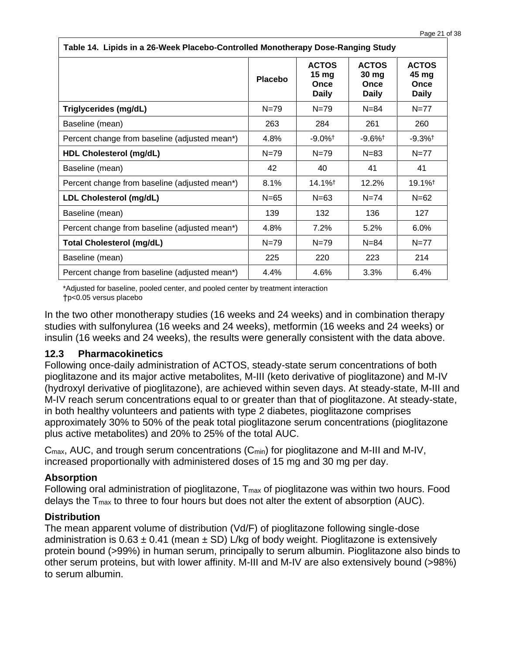| Table 14. Lipids in a 26-Week Placebo-Controlled Monotherapy Dose-Ranging Study |                |                                                          |                                               |                                               |  |
|---------------------------------------------------------------------------------|----------------|----------------------------------------------------------|-----------------------------------------------|-----------------------------------------------|--|
|                                                                                 | <b>Placebo</b> | <b>ACTOS</b><br>15 <sub>mg</sub><br>Once<br><b>Daily</b> | <b>ACTOS</b><br>30 mg<br>Once<br><b>Daily</b> | <b>ACTOS</b><br>45 mg<br>Once<br><b>Daily</b> |  |
| Triglycerides (mg/dL)                                                           | $N = 79$       | $N = 79$                                                 | $N = 84$                                      | $N = 77$                                      |  |
| Baseline (mean)                                                                 | 263            | 284                                                      | 261                                           | 260                                           |  |
| Percent change from baseline (adjusted mean*)                                   | 4.8%           | $-9.0\%$ <sup>†</sup>                                    | $-9.6\%$ <sup>†</sup>                         | $-9.3\%$ <sup>†</sup>                         |  |
| <b>HDL Cholesterol (mg/dL)</b>                                                  | $N = 79$       | $N = 79$                                                 | $N = 83$                                      | $N=77$                                        |  |
| Baseline (mean)                                                                 | 42             | 40                                                       | 41                                            | 41                                            |  |
| Percent change from baseline (adjusted mean*)                                   | 8.1%           | $14.1\%$ <sup>†</sup>                                    | 12.2%                                         | $19.1\%$ <sup>†</sup>                         |  |
| LDL Cholesterol (mg/dL)                                                         | $N = 65$       | $N = 63$                                                 | $N = 74$                                      | $N = 62$                                      |  |
| Baseline (mean)                                                                 | 139            | 132                                                      | 136                                           | 127                                           |  |
| Percent change from baseline (adjusted mean*)                                   | 4.8%           | 7.2%                                                     | 5.2%                                          | 6.0%                                          |  |
| <b>Total Cholesterol (mg/dL)</b>                                                | $N = 79$       | $N = 79$                                                 | $N = 84$                                      | $N = 77$                                      |  |
| Baseline (mean)                                                                 | 225            | 220                                                      | 223                                           | 214                                           |  |
| Percent change from baseline (adjusted mean*)                                   | 4.4%           | 4.6%                                                     | 3.3%                                          | 6.4%                                          |  |

\*Adjusted for baseline, pooled center, and pooled center by treatment interaction †p<0.05 versus placebo

In the two other monotherapy studies (16 weeks and 24 weeks) and in combination therapy studies with sulfonylurea (16 weeks and 24 weeks), metformin (16 weeks and 24 weeks) or insulin (16 weeks and 24 weeks), the results were generally consistent with the data above.

### **12.3 Pharmacokinetics**

Following once-daily administration of ACTOS, steady-state serum concentrations of both pioglitazone and its major active metabolites, M-III (keto derivative of pioglitazone) and M-IV (hydroxyl derivative of pioglitazone), are achieved within seven days. At steady-state, M-III and M-IV reach serum concentrations equal to or greater than that of pioglitazone. At steady-state, in both healthy volunteers and patients with type 2 diabetes, pioglitazone comprises approximately 30% to 50% of the peak total pioglitazone serum concentrations (pioglitazone plus active metabolites) and 20% to 25% of the total AUC.

Cmax, AUC, and trough serum concentrations (Cmin) for pioglitazone and M-III and M-IV, increased proportionally with administered doses of 15 mg and 30 mg per day.

### **Absorption**

Following oral administration of pioglitazone, T<sub>max</sub> of pioglitazone was within two hours. Food delays the Tmax to three to four hours but does not alter the extent of absorption (AUC).

# **Distribution**

The mean apparent volume of distribution (Vd/F) of pioglitazone following single-dose administration is  $0.63 \pm 0.41$  (mean  $\pm$  SD) L/kg of body weight. Pioglitazone is extensively protein bound (>99%) in human serum, principally to serum albumin. Pioglitazone also binds to other serum proteins, but with lower affinity. M-III and M-IV are also extensively bound (>98%) to serum albumin.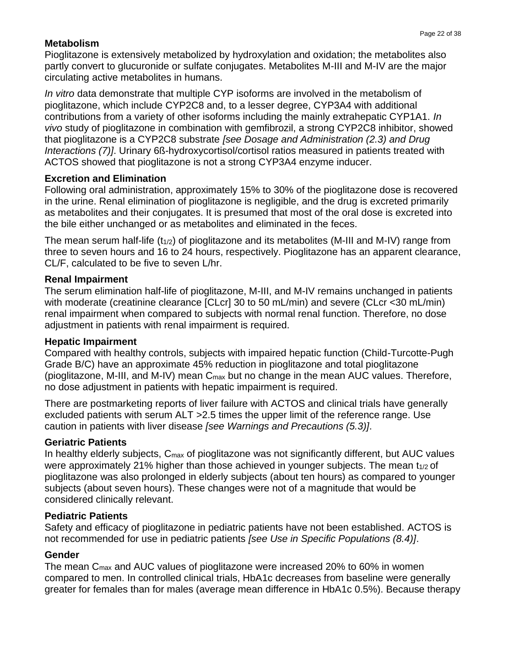# **Metabolism**

Pioglitazone is extensively metabolized by hydroxylation and oxidation; the metabolites also partly convert to glucuronide or sulfate conjugates. Metabolites M-III and M-IV are the major circulating active metabolites in humans.

*In vitro* data demonstrate that multiple CYP isoforms are involved in the metabolism of pioglitazone, which include CYP2C8 and, to a lesser degree, CYP3A4 with additional contributions from a variety of other isoforms including the mainly extrahepatic CYP1A1. *In vivo* study of pioglitazone in combination with gemfibrozil, a strong CYP2C8 inhibitor, showed that pioglitazone is a CYP2C8 substrate *[see Dosage and Administration (2.3) and Drug Interactions (7)]*. Urinary 6ß-hydroxycortisol/cortisol ratios measured in patients treated with ACTOS showed that pioglitazone is not a strong CYP3A4 enzyme inducer.

### **Excretion and Elimination**

Following oral administration, approximately 15% to 30% of the pioglitazone dose is recovered in the urine. Renal elimination of pioglitazone is negligible, and the drug is excreted primarily as metabolites and their conjugates. It is presumed that most of the oral dose is excreted into the bile either unchanged or as metabolites and eliminated in the feces.

The mean serum half-life  $(t_{1/2})$  of pioglitazone and its metabolites (M-III and M-IV) range from three to seven hours and 16 to 24 hours, respectively. Pioglitazone has an apparent clearance, CL/F, calculated to be five to seven L/hr.

### **Renal Impairment**

The serum elimination half-life of pioglitazone, M-III, and M-IV remains unchanged in patients with moderate (creatinine clearance [CLcr] 30 to 50 mL/min) and severe (CLcr <30 mL/min) renal impairment when compared to subjects with normal renal function. Therefore, no dose adjustment in patients with renal impairment is required.

### **Hepatic Impairment**

Compared with healthy controls, subjects with impaired hepatic function (Child-Turcotte-Pugh Grade B/C) have an approximate 45% reduction in pioglitazone and total pioglitazone (pioglitazone, M-III, and M-IV) mean Cmax but no change in the mean AUC values. Therefore, no dose adjustment in patients with hepatic impairment is required.

There are postmarketing reports of liver failure with ACTOS and clinical trials have generally excluded patients with serum ALT >2.5 times the upper limit of the reference range. Use caution in patients with liver disease *[see Warnings and Precautions (5.3)]*.

### **Geriatric Patients**

In healthy elderly subjects, C<sub>max</sub> of pioglitazone was not significantly different, but AUC values were approximately 21% higher than those achieved in younger subjects. The mean  $t_{1/2}$  of pioglitazone was also prolonged in elderly subjects (about ten hours) as compared to younger subjects (about seven hours). These changes were not of a magnitude that would be considered clinically relevant.

### **Pediatric Patients**

Safety and efficacy of pioglitazone in pediatric patients have not been established. ACTOS is not recommended for use in pediatric patients *[see Use in Specific Populations (8.4)]*.

# **Gender**

The mean  $C_{\text{max}}$  and AUC values of pioglitazone were increased 20% to 60% in women compared to men. In controlled clinical trials, HbA1c decreases from baseline were generally greater for females than for males (average mean difference in HbA1c 0.5%). Because therapy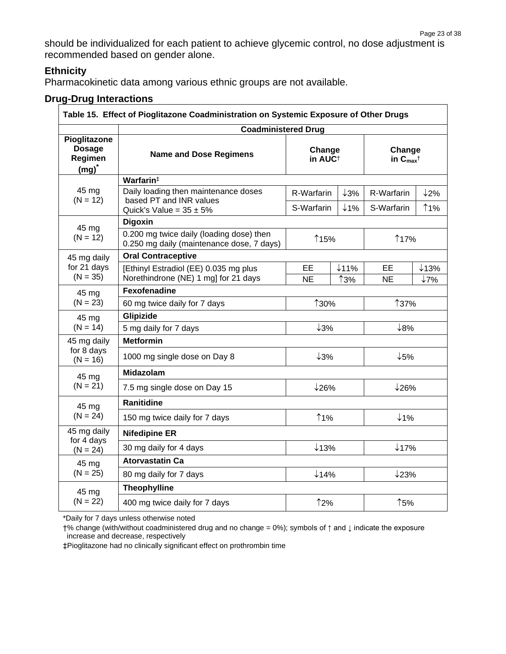should be individualized for each patient to achieve glycemic control, no dose adjustment is recommended based on gender alone.

# **Ethnicity**

Pharmacokinetic data among various ethnic groups are not available.

# **Drug-Drug Interactions**

| Table 15. Effect of Pioglitazone Coadministration on Systemic Exposure of Other Drugs |                                                                                                 |                          |                          |                                     |                         |  |
|---------------------------------------------------------------------------------------|-------------------------------------------------------------------------------------------------|--------------------------|--------------------------|-------------------------------------|-------------------------|--|
|                                                                                       | <b>Coadministered Drug</b>                                                                      |                          |                          |                                     |                         |  |
| Pioglitazone<br><b>Dosage</b><br>Regimen<br>$(mg)^*$                                  | Change<br><b>Name and Dose Regimens</b><br>in AUC <sup>+</sup>                                  |                          |                          | Change<br>in $C_{max}$ <sup>†</sup> |                         |  |
|                                                                                       | Warfarin#                                                                                       |                          |                          |                                     |                         |  |
| 45 mg<br>$(N = 12)$                                                                   | Daily loading then maintenance doses<br>based PT and INR values<br>Quick's Value = $35 \pm 5\%$ | R-Warfarin<br>S-Warfarin | $\downarrow$ 3%<br>$1\%$ | R-Warfarin<br>S-Warfarin            | 12%<br><b>11%</b>       |  |
|                                                                                       | <b>Digoxin</b>                                                                                  |                          |                          |                                     |                         |  |
| 45 mg<br>$(N = 12)$                                                                   | 0.200 mg twice daily (loading dose) then<br>0.250 mg daily (maintenance dose, 7 days)           | ↑15%                     |                          | ↑17%                                |                         |  |
| 45 mg daily                                                                           | <b>Oral Contraceptive</b>                                                                       |                          |                          |                                     |                         |  |
| for 21 days<br>$(N = 35)$                                                             | [Ethinyl Estradiol (EE) 0.035 mg plus<br>Norethindrone (NE) 1 mg] for 21 days                   | EE<br><b>NE</b>          | $\downarrow$ 11%<br>↑3%  | EE<br><b>NE</b>                     | $\downarrow$ 13%<br>↓7% |  |
| 45 mg                                                                                 | Fexofenadine                                                                                    |                          |                          |                                     |                         |  |
| $(N = 23)$                                                                            | 60 mg twice daily for 7 days                                                                    | ↑30%                     |                          | ↑37%                                |                         |  |
| 45 mg                                                                                 | Glipizide                                                                                       |                          |                          |                                     |                         |  |
| $(N = 14)$                                                                            | 5 mg daily for 7 days                                                                           | $\downarrow$ 3%          |                          | $\downarrow$ 8%                     |                         |  |
| 45 mg daily                                                                           | <b>Metformin</b>                                                                                |                          |                          |                                     |                         |  |
| for 8 days<br>$(N = 16)$                                                              | 1000 mg single dose on Day 8                                                                    | $\downarrow$ 3%          |                          | $\downarrow$ 5%                     |                         |  |
| 45 mg                                                                                 | <b>Midazolam</b>                                                                                |                          |                          |                                     |                         |  |
| $(N = 21)$                                                                            | 7.5 mg single dose on Day 15                                                                    | $\downarrow$ 26%         |                          | $\downarrow$ 26%                    |                         |  |
| 45 mg                                                                                 | <b>Ranitidine</b>                                                                               |                          |                          |                                     |                         |  |
| $(N = 24)$                                                                            | 150 mg twice daily for 7 days                                                                   | <b>11%</b>               |                          |                                     | $1\%$                   |  |
| 45 mg daily<br>for 4 days                                                             | <b>Nifedipine ER</b>                                                                            |                          |                          |                                     |                         |  |
| $(N = 24)$                                                                            | 30 mg daily for 4 days                                                                          | $\downarrow$ 13%         |                          | $\downarrow$ 17%                    |                         |  |
| 45 mg                                                                                 | <b>Atorvastatin Ca</b>                                                                          |                          |                          |                                     |                         |  |
| $(N = 25)$                                                                            | 80 mg daily for 7 days                                                                          | $\downarrow$ 14%         |                          | $\downarrow$ 23%                    |                         |  |
| 45 mg                                                                                 | <b>Theophylline</b>                                                                             |                          |                          |                                     |                         |  |
| $(N = 22)$                                                                            | 400 mg twice daily for 7 days                                                                   | ↑2%                      |                          | ↑5%                                 |                         |  |

\*Daily for 7 days unless otherwise noted

†% change (with/without coadministered drug and no change = 0%); symbols of ↑ and ↓ indicate the exposure increase and decrease, respectively

‡Pioglitazone had no clinically significant effect on prothrombin time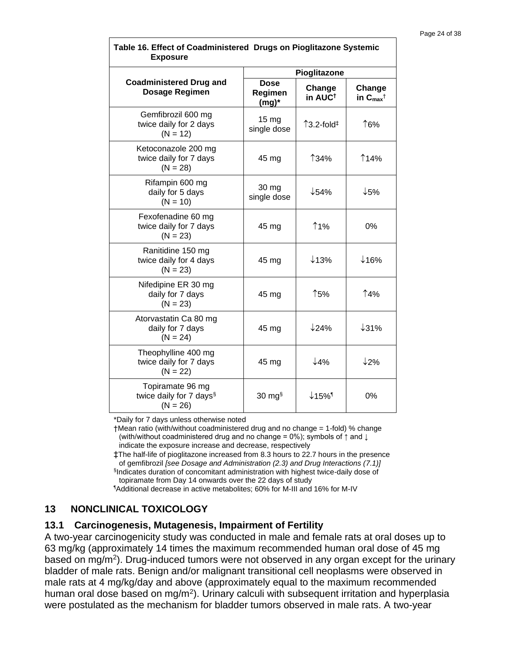| <b>Exposure</b>                                                       |                                    |                                  |                                     |  |
|-----------------------------------------------------------------------|------------------------------------|----------------------------------|-------------------------------------|--|
|                                                                       |                                    | Pioglitazone                     |                                     |  |
| <b>Coadministered Drug and</b><br><b>Dosage Regimen</b>               | <b>Dose</b><br>Regimen<br>$(mg)^*$ | Change<br>in AUC <sup>t</sup>    | Change<br>in $C_{max}$ <sup>†</sup> |  |
| Gemfibrozil 600 mg<br>twice daily for 2 days<br>$(N = 12)$            | 15 <sub>mg</sub><br>single dose    | $\uparrow$ 3.2-fold $\downarrow$ | ↑6%                                 |  |
| Ketoconazole 200 mg<br>twice daily for 7 days<br>$(N = 28)$           | 45 mg                              | ↑34%                             | <b>14%</b>                          |  |
| Rifampin 600 mg<br>daily for 5 days<br>$(N = 10)$                     | 30 mg<br>single dose               | $\downarrow$ 54%                 | $\downarrow$ 5%                     |  |
| Fexofenadine 60 mg<br>twice daily for 7 days<br>$(N = 23)$            | 45 mg                              | ↑1%                              | 0%                                  |  |
| Ranitidine 150 mg<br>twice daily for 4 days<br>$(N = 23)$             | 45 mg                              | $\downarrow$ 13%                 | $\downarrow$ 16%                    |  |
| Nifedipine ER 30 mg<br>daily for 7 days<br>$(N = 23)$                 | 45 mg                              | ↑5%                              | <b>14%</b>                          |  |
| Atorvastatin Ca 80 mg<br>daily for 7 days<br>$(N = 24)$               | 45 mg                              | $\downarrow$ 24%                 | $\downarrow$ 31%                    |  |
| Theophylline 400 mg<br>twice daily for 7 days<br>$(N = 22)$           | 45 mg                              | 4%                               | 12%                                 |  |
| Topiramate 96 mg<br>twice daily for 7 days <sup>§</sup><br>$(N = 26)$ | $30 \text{ mg}$                    | $\downarrow$ 15%                 | 0%                                  |  |

# **Table 16. Effect of Coadministered Drugs on Pioglitazone Systemic**

\*Daily for 7 days unless otherwise noted

†Mean ratio (with/without coadministered drug and no change = 1-fold) % change (with/without coadministered drug and no change = 0%); symbols of ↑ and ↓ indicate the exposure increase and decrease, respectively

‡The half-life of pioglitazone increased from 8.3 hours to 22.7 hours in the presence of gemfibrozil *[see Dosage and Administration (2.3) and Drug Interactions (7.1)]* § Indicates duration of concomitant administration with highest twice-daily dose of topiramate from Day 14 onwards over the 22 days of study

¶Additional decrease in active metabolites; 60% for M-III and 16% for M-IV

# **13 NONCLINICAL TOXICOLOGY**

### **13.1 Carcinogenesis, Mutagenesis, Impairment of Fertility**

A two-year carcinogenicity study was conducted in male and female rats at oral doses up to 63 mg/kg (approximately 14 times the maximum recommended human oral dose of 45 mg based on mg/m<sup>2</sup>). Drug-induced tumors were not observed in any organ except for the urinary bladder of male rats. Benign and/or malignant transitional cell neoplasms were observed in male rats at 4 mg/kg/day and above (approximately equal to the maximum recommended human oral dose based on mg/m<sup>2</sup>). Urinary calculi with subsequent irritation and hyperplasia were postulated as the mechanism for bladder tumors observed in male rats. A two-year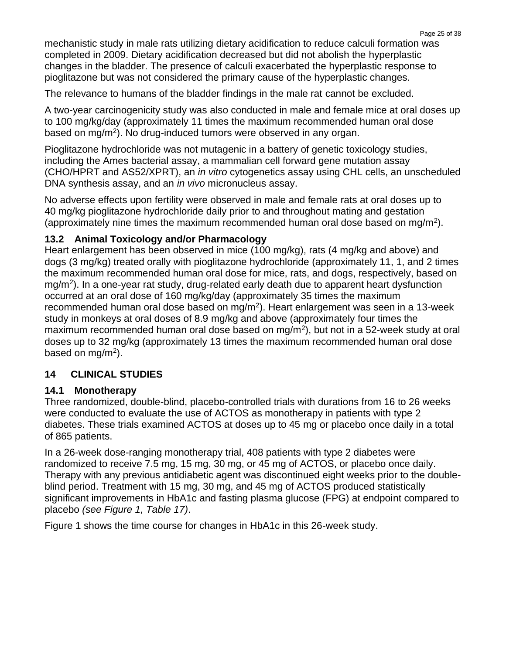mechanistic study in male rats utilizing dietary acidification to reduce calculi formation was completed in 2009. Dietary acidification decreased but did not abolish the hyperplastic changes in the bladder. The presence of calculi exacerbated the hyperplastic response to pioglitazone but was not considered the primary cause of the hyperplastic changes.

The relevance to humans of the bladder findings in the male rat cannot be excluded.

A two-year carcinogenicity study was also conducted in male and female mice at oral doses up to 100 mg/kg/day (approximately 11 times the maximum recommended human oral dose based on mg/m<sup>2</sup> ). No drug-induced tumors were observed in any organ.

Pioglitazone hydrochloride was not mutagenic in a battery of genetic toxicology studies, including the Ames bacterial assay, a mammalian cell forward gene mutation assay (CHO/HPRT and AS52/XPRT), an *in vitro* cytogenetics assay using CHL cells, an unscheduled DNA synthesis assay, and an *in vivo* micronucleus assay.

No adverse effects upon fertility were observed in male and female rats at oral doses up to 40 mg/kg pioglitazone hydrochloride daily prior to and throughout mating and gestation (approximately nine times the maximum recommended human oral dose based on mg/m<sup>2</sup>).

# **13.2 Animal Toxicology and/or Pharmacology**

Heart enlargement has been observed in mice (100 mg/kg), rats (4 mg/kg and above) and dogs (3 mg/kg) treated orally with pioglitazone hydrochloride (approximately 11, 1, and 2 times the maximum recommended human oral dose for mice, rats, and dogs, respectively, based on mg/m<sup>2</sup>). In a one-year rat study, drug-related early death due to apparent heart dysfunction occurred at an oral dose of 160 mg/kg/day (approximately 35 times the maximum recommended human oral dose based on mg/m<sup>2</sup>). Heart enlargement was seen in a 13-week study in monkeys at oral doses of 8.9 mg/kg and above (approximately four times the maximum recommended human oral dose based on mg/m<sup>2</sup>), but not in a 52-week study at oral doses up to 32 mg/kg (approximately 13 times the maximum recommended human oral dose based on mg/m<sup>2</sup>).

# **14 CLINICAL STUDIES**

# **14.1 Monotherapy**

Three randomized, double-blind, placebo-controlled trials with durations from 16 to 26 weeks were conducted to evaluate the use of ACTOS as monotherapy in patients with type 2 diabetes. These trials examined ACTOS at doses up to 45 mg or placebo once daily in a total of 865 patients.

In a 26-week dose-ranging monotherapy trial, 408 patients with type 2 diabetes were randomized to receive 7.5 mg, 15 mg, 30 mg, or 45 mg of ACTOS, or placebo once daily. Therapy with any previous antidiabetic agent was discontinued eight weeks prior to the doubleblind period. Treatment with 15 mg, 30 mg, and 45 mg of ACTOS produced statistically significant improvements in HbA1c and fasting plasma glucose (FPG) at endpoint compared to placebo *(see Figure 1, Table 17)*.

Figure 1 shows the time course for changes in HbA1c in this 26-week study.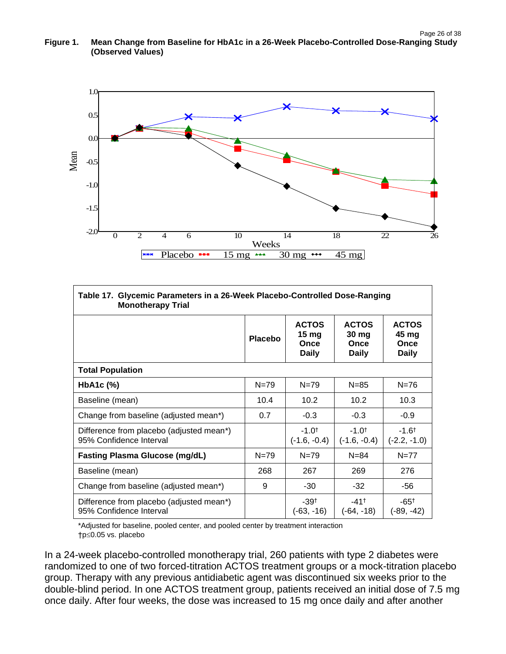

| Glycemic Parameters in a 26-Week Placebo-Controlled Dose-Ranging<br>Table 17.<br><b>Monotherapy Trial</b> |                |                                               |                                                          |                                               |  |
|-----------------------------------------------------------------------------------------------------------|----------------|-----------------------------------------------|----------------------------------------------------------|-----------------------------------------------|--|
|                                                                                                           | <b>Placebo</b> | <b>ACTOS</b><br>15 mg<br>Once<br><b>Daily</b> | <b>ACTOS</b><br>30 <sub>mg</sub><br>Once<br><b>Daily</b> | <b>ACTOS</b><br>45 mg<br>Once<br><b>Daily</b> |  |
| <b>Total Population</b>                                                                                   |                |                                               |                                                          |                                               |  |
| $HbA1c$ (%)                                                                                               | $N = 79$       | $N = 79$                                      | $N = 85$                                                 | $N = 76$                                      |  |
| Baseline (mean)                                                                                           | 10.4           | 10.2                                          | 10.2                                                     | 10.3                                          |  |
| Change from baseline (adjusted mean*)                                                                     | 0.7            | $-0.3$                                        | $-0.3$                                                   | $-0.9$                                        |  |
| Difference from placebo (adjusted mean*)<br>95% Confidence Interval                                       |                | $-1.0^+$<br>$(-1.6, -0.4)$                    | $-1.0^{+}$<br>(-1.6, -0.4)                               | $-1.6$ <sup>t</sup><br>$(-2.2, -1.0)$         |  |
| <b>Fasting Plasma Glucose (mg/dL)</b>                                                                     | $N = 79$       | $N = 79$                                      | $N = 84$                                                 | $N = 77$                                      |  |
| Baseline (mean)                                                                                           | 268            | 267                                           | 269                                                      | 276                                           |  |
| Change from baseline (adjusted mean*)                                                                     | 9              | $-30$                                         | $-32$                                                    | -56                                           |  |
| Difference from placebo (adjusted mean*)<br>95% Confidence Interval                                       |                | $-39†$<br>$(-63, -16)$                        | $-41$ <sup>+</sup><br>$(-64, -18)$                       | $-65^+$<br>$(-89, -42)$                       |  |

\*Adjusted for baseline, pooled center, and pooled center by treatment interaction †p≤0.05 vs. placebo

In a 24-week placebo-controlled monotherapy trial, 260 patients with type 2 diabetes were randomized to one of two forced-titration ACTOS treatment groups or a mock-titration placebo group. Therapy with any previous antidiabetic agent was discontinued six weeks prior to the double-blind period. In one ACTOS treatment group, patients received an initial dose of 7.5 mg once daily. After four weeks, the dose was increased to 15 mg once daily and after another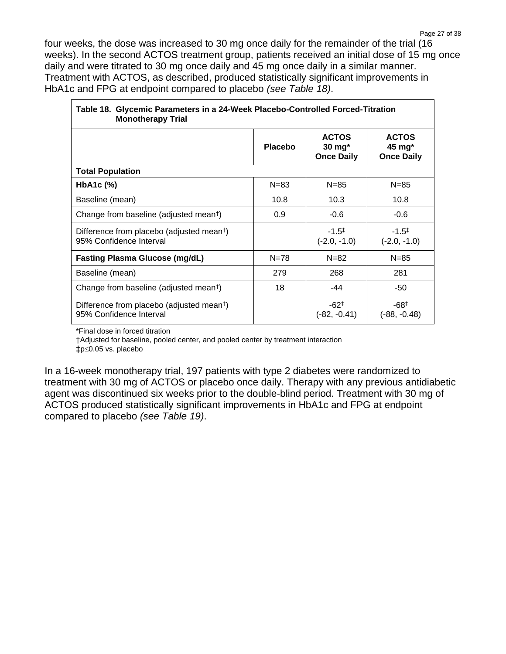four weeks, the dose was increased to 30 mg once daily for the remainder of the trial (16 weeks). In the second ACTOS treatment group, patients received an initial dose of 15 mg once daily and were titrated to 30 mg once daily and 45 mg once daily in a similar manner. Treatment with ACTOS, as described, produced statistically significant improvements in HbA1c and FPG at endpoint compared to placebo *(see Table 18)*.

| Table 18. Glycemic Parameters in a 24-Week Placebo-Controlled Forced-Titration<br><b>Monotherapy Trial</b> |                |                                                        |                                             |  |
|------------------------------------------------------------------------------------------------------------|----------------|--------------------------------------------------------|---------------------------------------------|--|
|                                                                                                            | <b>Placebo</b> | <b>ACTOS</b><br>$30 \text{ mg}^*$<br><b>Once Daily</b> | <b>ACTOS</b><br>45 mg*<br><b>Once Daily</b> |  |
| <b>Total Population</b>                                                                                    |                |                                                        |                                             |  |
| HbA <sub>1</sub> c $(\%)$                                                                                  | $N = 83$       | $N = 85$                                               | $N = 85$                                    |  |
| Baseline (mean)                                                                                            | 10.8           | 10.3                                                   | 10.8                                        |  |
| Change from baseline (adjusted mean <sup>t</sup> )                                                         | 0.9            | $-0.6$                                                 | $-0.6$                                      |  |
| Difference from placebo (adjusted mean <sup>†</sup> )<br>95% Confidence Interval                           |                | $-1.5^{\ddagger}$<br>$(-2.0, -1.0)$                    | $-1.5^{\ddagger}$<br>$(-2.0, -1.0)$         |  |
| <b>Fasting Plasma Glucose (mg/dL)</b>                                                                      | $N = 78$       | $N = 82$                                               | $N = 85$                                    |  |
| Baseline (mean)                                                                                            | 279            | 268                                                    | 281                                         |  |
| Change from baseline (adjusted mean <sup>t</sup> )                                                         | 18             | -44                                                    | -50                                         |  |
| Difference from placebo (adjusted mean <sup>†</sup> )<br>95% Confidence Interval                           |                | $-62^{\ddagger}$<br>$(-82, -0.41)$                     | $-68^{\ddagger}$<br>(-88, -0.48)            |  |

\*Final dose in forced titration

†Adjusted for baseline, pooled center, and pooled center by treatment interaction  $tp \leq 0.05$  vs. placebo

In a 16-week monotherapy trial, 197 patients with type 2 diabetes were randomized to treatment with 30 mg of ACTOS or placebo once daily. Therapy with any previous antidiabetic agent was discontinued six weeks prior to the double-blind period. Treatment with 30 mg of ACTOS produced statistically significant improvements in HbA1c and FPG at endpoint compared to placebo *(see Table 19)*.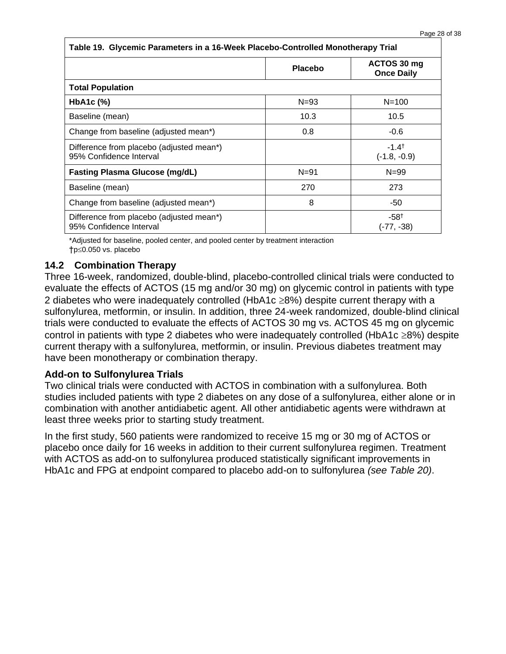| Table 19. Glycemic Parameters in a 16-Week Placebo-Controlled Monotherapy Trial |                |                                    |  |
|---------------------------------------------------------------------------------|----------------|------------------------------------|--|
|                                                                                 | <b>Placebo</b> | ACTOS 30 mg<br><b>Once Daily</b>   |  |
| <b>Total Population</b>                                                         |                |                                    |  |
| HbA <sub>1</sub> c $(%)$                                                        | $N = 93$       | $N = 100$                          |  |
| Baseline (mean)                                                                 | 10.3           | 10.5                               |  |
| Change from baseline (adjusted mean*)                                           | 0.8            | $-0.6$                             |  |
| Difference from placebo (adjusted mean*)<br>95% Confidence Interval             |                | $-1.4^{\dagger}$<br>$(-1.8, -0.9)$ |  |
| <b>Fasting Plasma Glucose (mg/dL)</b>                                           | $N = 91$       | $N = 99$                           |  |
| Baseline (mean)                                                                 | 270            | 273                                |  |
| Change from baseline (adjusted mean*)                                           | 8              | -50                                |  |
| Difference from placebo (adjusted mean*)<br>95% Confidence Interval             |                | $-58^{\dagger}$<br>(-77, -38)      |  |

\*Adjusted for baseline, pooled center, and pooled center by treatment interaction †p≤0.050 vs. placebo

### **14.2 Combination Therapy**

Three 16-week, randomized, double-blind, placebo-controlled clinical trials were conducted to evaluate the effects of ACTOS (15 mg and/or 30 mg) on glycemic control in patients with type 2 diabetes who were inadequately controlled (HbA1c  $\geq$ 8%) despite current therapy with a sulfonylurea, metformin, or insulin. In addition, three 24-week randomized, double-blind clinical trials were conducted to evaluate the effects of ACTOS 30 mg vs. ACTOS 45 mg on glycemic control in patients with type 2 diabetes who were inadequately controlled (HbA1c  $\geq$ 8%) despite current therapy with a sulfonylurea, metformin, or insulin. Previous diabetes treatment may have been monotherapy or combination therapy.

### **Add-on to Sulfonylurea Trials**

Two clinical trials were conducted with ACTOS in combination with a sulfonylurea. Both studies included patients with type 2 diabetes on any dose of a sulfonylurea, either alone or in combination with another antidiabetic agent. All other antidiabetic agents were withdrawn at least three weeks prior to starting study treatment.

In the first study, 560 patients were randomized to receive 15 mg or 30 mg of ACTOS or placebo once daily for 16 weeks in addition to their current sulfonylurea regimen. Treatment with ACTOS as add-on to sulfonylurea produced statistically significant improvements in HbA1c and FPG at endpoint compared to placebo add-on to sulfonylurea *(see Table 20)*.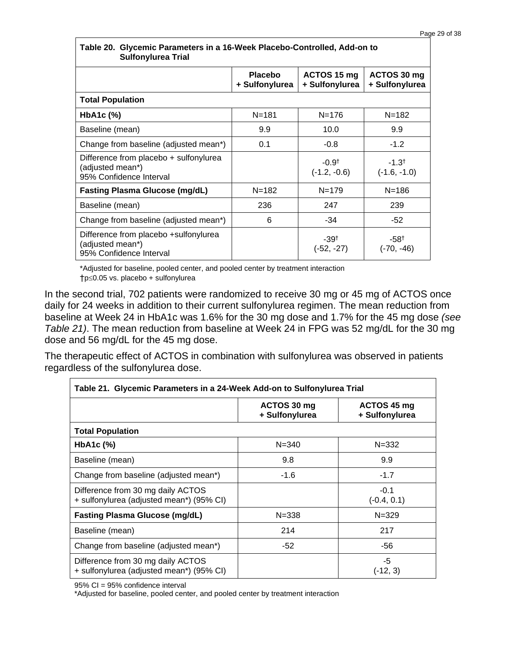| <b>Sulfonylurea Trial</b>                                                             |                                  |                               |                               |
|---------------------------------------------------------------------------------------|----------------------------------|-------------------------------|-------------------------------|
|                                                                                       | <b>Placebo</b><br>+ Sulfonylurea | ACTOS 15 mg<br>+ Sulfonylurea | ACTOS 30 mg<br>+ Sulfonylurea |
| <b>Total Population</b>                                                               |                                  |                               |                               |
| HbA <sub>1</sub> c $(\%)$                                                             | $N = 181$                        | $N = 176$                     | $N = 182$                     |
| Baseline (mean)                                                                       | 9.9                              | 10.0                          | 9.9                           |
| Change from baseline (adjusted mean*)                                                 | 0.1                              | $-0.8$                        | $-1.2$                        |
| Difference from placebo + sulfonylurea<br>(adjusted mean*)<br>95% Confidence Interval |                                  | $-0.9†$<br>$(-1.2, -0.6)$     | $-1.3^+$<br>$(-1.6, -1.0)$    |
| <b>Fasting Plasma Glucose (mg/dL)</b>                                                 | $N = 182$                        | $N = 179$                     | $N = 186$                     |
| Baseline (mean)                                                                       | 236                              | 247                           | 239                           |
| Change from baseline (adjusted mean*)                                                 | 6                                | $-34$                         | -52                           |
| Difference from placebo +sulfonylurea<br>(adjusted mean*)<br>95% Confidence Interval  |                                  | $-39^{+}$<br>(-52, -27)       | $-58†$<br>(-70, -46)          |

#### **Table 20. Glycemic Parameters in a 16-Week Placebo-Controlled, Add-on to Sulfonylurea Trial**

\*Adjusted for baseline, pooled center, and pooled center by treatment interaction  $\uparrow$ p $\leq$ 0.05 vs. placebo + sulfonylurea

In the second trial, 702 patients were randomized to receive 30 mg or 45 mg of ACTOS once daily for 24 weeks in addition to their current sulfonylurea regimen. The mean reduction from baseline at Week 24 in HbA1c was 1.6% for the 30 mg dose and 1.7% for the 45 mg dose *(see Table 21)*. The mean reduction from baseline at Week 24 in FPG was 52 mg/dL for the 30 mg dose and 56 mg/dL for the 45 mg dose.

The therapeutic effect of ACTOS in combination with sulfonylurea was observed in patients regardless of the sulfonylurea dose.

| Table 21. Glycemic Parameters in a 24-Week Add-on to Sulfonylurea Trial       |                               |                               |  |  |  |
|-------------------------------------------------------------------------------|-------------------------------|-------------------------------|--|--|--|
|                                                                               | ACTOS 30 mg<br>+ Sulfonylurea | ACTOS 45 mg<br>+ Sulfonylurea |  |  |  |
| <b>Total Population</b>                                                       |                               |                               |  |  |  |
| $HbA1c$ $%$                                                                   | $N = 340$                     | $N = 332$                     |  |  |  |
| Baseline (mean)                                                               | 9.8                           | 9.9                           |  |  |  |
| Change from baseline (adjusted mean*)                                         | -1.6                          | $-1.7$                        |  |  |  |
| Difference from 30 mg daily ACTOS<br>+ sulfonylurea (adjusted mean*) (95% CI) |                               | $-0.1$<br>$(-0.4, 0.1)$       |  |  |  |
| <b>Fasting Plasma Glucose (mg/dL)</b>                                         | $N = 338$                     | $N = 329$                     |  |  |  |
| Baseline (mean)                                                               | 214                           | 217                           |  |  |  |
| Change from baseline (adjusted mean*)                                         | -52                           | -56                           |  |  |  |
| Difference from 30 mg daily ACTOS<br>+ sulfonylurea (adjusted mean*) (95% CI) |                               | $-5$<br>$(-12, 3)$            |  |  |  |

95% CI = 95% confidence interval

\*Adjusted for baseline, pooled center, and pooled center by treatment interaction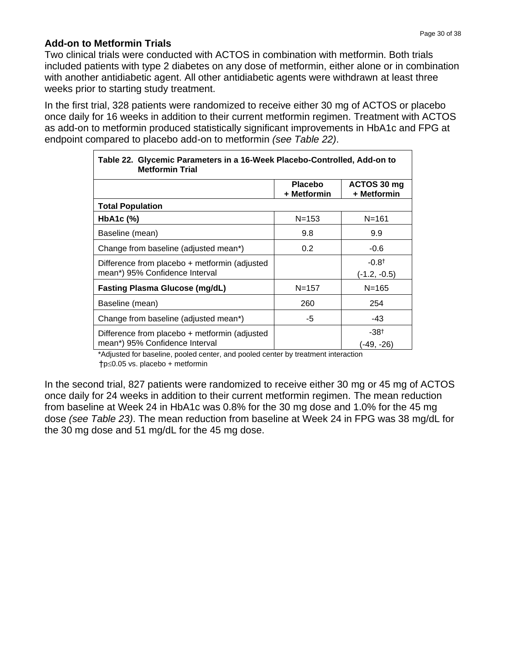### **Add-on to Metformin Trials**

Two clinical trials were conducted with ACTOS in combination with metformin. Both trials included patients with type 2 diabetes on any dose of metformin, either alone or in combination with another antidiabetic agent. All other antidiabetic agents were withdrawn at least three weeks prior to starting study treatment.

In the first trial, 328 patients were randomized to receive either 30 mg of ACTOS or placebo once daily for 16 weeks in addition to their current metformin regimen. Treatment with ACTOS as add-on to metformin produced statistically significant improvements in HbA1c and FPG at endpoint compared to placebo add-on to metformin *(see Table 22)*.

| Table 22. Glycemic Parameters in a 16-Week Placebo-Controlled, Add-on to<br><b>Metformin Trial</b> |                               |                            |  |  |
|----------------------------------------------------------------------------------------------------|-------------------------------|----------------------------|--|--|
|                                                                                                    | <b>Placebo</b><br>+ Metformin | ACTOS 30 mg<br>+ Metformin |  |  |
| <b>Total Population</b>                                                                            |                               |                            |  |  |
| $HbA1c$ (%)                                                                                        | $N = 153$                     | $N = 161$                  |  |  |
| Baseline (mean)                                                                                    | 9.8                           | 9.9                        |  |  |
| Change from baseline (adjusted mean*)                                                              | 0.2                           | $-0.6$                     |  |  |
| Difference from placebo + metformin (adjusted<br>mean*) 95% Confidence Interval                    |                               | $-0.8^+$<br>$(-1.2, -0.5)$ |  |  |
| <b>Fasting Plasma Glucose (mg/dL)</b>                                                              | $N = 157$                     | $N = 165$                  |  |  |
| Baseline (mean)                                                                                    | 260                           | 254                        |  |  |
| Change from baseline (adjusted mean*)                                                              | -5                            | -43                        |  |  |
| Difference from placebo + metformin (adjusted<br>mean*) 95% Confidence Interval                    |                               | $-38^+$<br>(-49, -26)      |  |  |

\*Adjusted for baseline, pooled center, and pooled center by treatment interaction  $\uparrow$ p $\leq$ 0.05 vs. placebo + metformin

In the second trial, 827 patients were randomized to receive either 30 mg or 45 mg of ACTOS once daily for 24 weeks in addition to their current metformin regimen. The mean reduction from baseline at Week 24 in HbA1c was 0.8% for the 30 mg dose and 1.0% for the 45 mg dose *(see Table 23)*. The mean reduction from baseline at Week 24 in FPG was 38 mg/dL for the 30 mg dose and 51 mg/dL for the 45 mg dose.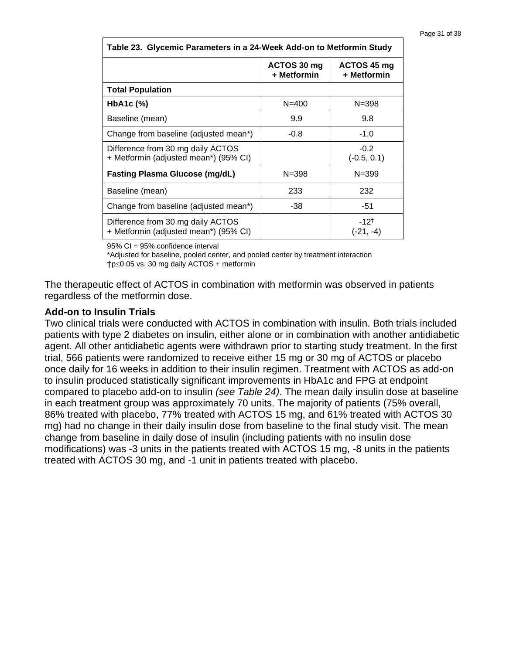| Table 23. Glycemic Parameters in a 24-Week Add-on to Metformin Study       |                            |                            |  |  |
|----------------------------------------------------------------------------|----------------------------|----------------------------|--|--|
|                                                                            | ACTOS 30 mg<br>+ Metformin | ACTOS 45 mg<br>+ Metformin |  |  |
| <b>Total Population</b>                                                    |                            |                            |  |  |
| $HbA1c$ (%)                                                                | $N = 400$                  | $N = 398$                  |  |  |
| Baseline (mean)                                                            | 9.9                        | 9.8                        |  |  |
| Change from baseline (adjusted mean*)                                      | $-0.8$                     | $-1.0$                     |  |  |
| Difference from 30 mg daily ACTOS<br>+ Metformin (adjusted mean*) (95% CI) |                            | $-0.2$<br>$(-0.5, 0.1)$    |  |  |
| <b>Fasting Plasma Glucose (mg/dL)</b>                                      | $N = 398$                  | $N = 399$                  |  |  |
| Baseline (mean)                                                            | 233                        | 232                        |  |  |
| Change from baseline (adjusted mean*)                                      | -38                        | -51                        |  |  |
| Difference from 30 mg daily ACTOS<br>+ Metformin (adjusted mean*) (95% CI) |                            | $-12^{+}$<br>(-21, -4)     |  |  |

95% CI = 95% confidence interval

\*Adjusted for baseline, pooled center, and pooled center by treatment interaction  $\uparrow$ p $\leq$ 0.05 vs. 30 mg daily ACTOS + metformin

The therapeutic effect of ACTOS in combination with metformin was observed in patients regardless of the metformin dose.

#### **Add-on to Insulin Trials**

Two clinical trials were conducted with ACTOS in combination with insulin. Both trials included patients with type 2 diabetes on insulin, either alone or in combination with another antidiabetic agent. All other antidiabetic agents were withdrawn prior to starting study treatment. In the first trial, 566 patients were randomized to receive either 15 mg or 30 mg of ACTOS or placebo once daily for 16 weeks in addition to their insulin regimen. Treatment with ACTOS as add-on to insulin produced statistically significant improvements in HbA1c and FPG at endpoint compared to placebo add-on to insulin *(see Table 24)*. The mean daily insulin dose at baseline in each treatment group was approximately 70 units. The majority of patients (75% overall, 86% treated with placebo, 77% treated with ACTOS 15 mg, and 61% treated with ACTOS 30 mg) had no change in their daily insulin dose from baseline to the final study visit. The mean change from baseline in daily dose of insulin (including patients with no insulin dose modifications) was -3 units in the patients treated with ACTOS 15 mg, -8 units in the patients treated with ACTOS 30 mg, and -1 unit in patients treated with placebo.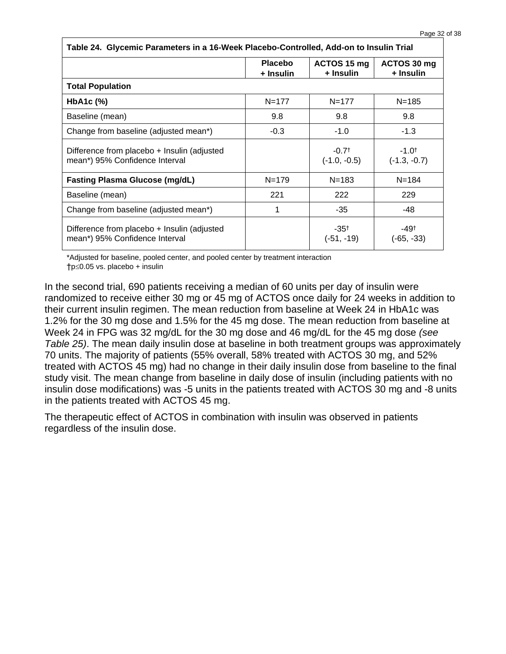| Table 24. Glycemic Parameters in a 16-Week Placebo-Controlled, Add-on to Insulin Trial |                             |                           |                              |  |
|----------------------------------------------------------------------------------------|-----------------------------|---------------------------|------------------------------|--|
|                                                                                        | <b>Placebo</b><br>+ Insulin | ACTOS 15 mg<br>+ Insulin  | ACTOS 30 mg<br>+ Insulin     |  |
| <b>Total Population</b>                                                                |                             |                           |                              |  |
| HbA1c (%)                                                                              | $N = 177$                   | $N = 177$                 | $N = 185$                    |  |
| Baseline (mean)                                                                        | 9.8                         | 9.8                       | 9.8                          |  |
| Change from baseline (adjusted mean*)                                                  | $-0.3$                      | $-1.0$                    | $-1.3$                       |  |
| Difference from placebo + Insulin (adjusted<br>mean*) 95% Confidence Interval          |                             | $-0.7†$<br>$(-1.0, -0.5)$ | $-1.0^{+}$<br>$(-1.3, -0.7)$ |  |
| <b>Fasting Plasma Glucose (mg/dL)</b>                                                  | $N = 179$                   | $N = 183$                 | $N = 184$                    |  |
| Baseline (mean)                                                                        | 221                         | 222                       | 229                          |  |
| Change from baseline (adjusted mean*)                                                  | 1                           | -35                       | -48                          |  |
| Difference from placebo + Insulin (adjusted<br>mean*) 95% Confidence Interval          |                             | $-35^{+}$<br>$(-51, -19)$ | -49†<br>(-65, -33)           |  |

\*Adjusted for baseline, pooled center, and pooled center by treatment interaction

 $\uparrow$ p $\leq$ 0.05 vs. placebo + insulin

In the second trial, 690 patients receiving a median of 60 units per day of insulin were randomized to receive either 30 mg or 45 mg of ACTOS once daily for 24 weeks in addition to their current insulin regimen. The mean reduction from baseline at Week 24 in HbA1c was 1.2% for the 30 mg dose and 1.5% for the 45 mg dose. The mean reduction from baseline at Week 24 in FPG was 32 mg/dL for the 30 mg dose and 46 mg/dL for the 45 mg dose *(see Table 25)*. The mean daily insulin dose at baseline in both treatment groups was approximately 70 units. The majority of patients (55% overall, 58% treated with ACTOS 30 mg, and 52% treated with ACTOS 45 mg) had no change in their daily insulin dose from baseline to the final study visit. The mean change from baseline in daily dose of insulin (including patients with no insulin dose modifications) was -5 units in the patients treated with ACTOS 30 mg and -8 units in the patients treated with ACTOS 45 mg.

The therapeutic effect of ACTOS in combination with insulin was observed in patients regardless of the insulin dose.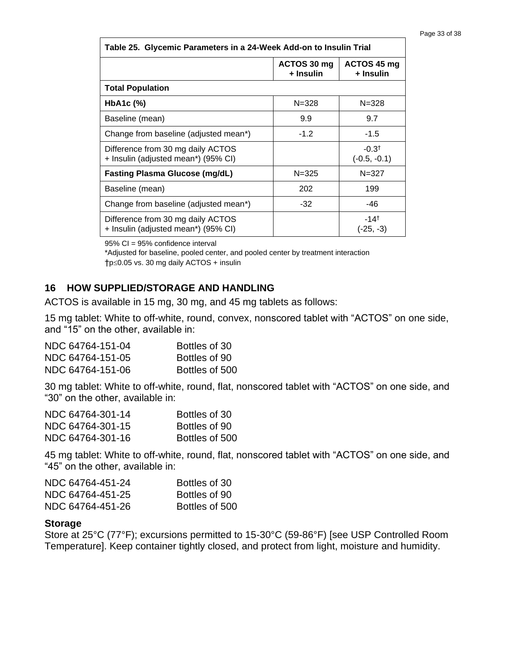| Table 25. Glycemic Parameters in a 24-Week Add-on to Insulin Trial       |                          |                                   |  |  |
|--------------------------------------------------------------------------|--------------------------|-----------------------------------|--|--|
|                                                                          | ACTOS 30 mg<br>+ Insulin | ACTOS 45 mg<br>+ Insulin          |  |  |
| <b>Total Population</b>                                                  |                          |                                   |  |  |
| $HbA1c$ $%$                                                              | $N = 328$                | $N = 328$                         |  |  |
| Baseline (mean)                                                          | 9.9                      | 9.7                               |  |  |
| Change from baseline (adjusted mean*)                                    | $-1.2$                   | $-1.5$                            |  |  |
| Difference from 30 mg daily ACTOS<br>+ Insulin (adjusted mean*) (95% CI) |                          | $-0.3†$<br>$(-0.5, -0.1)$         |  |  |
| <b>Fasting Plasma Glucose (mg/dL)</b>                                    | $N = 325$                | $N = 327$                         |  |  |
| Baseline (mean)                                                          | 202                      | 199                               |  |  |
| Change from baseline (adjusted mean*)                                    | $-32$                    | -46                               |  |  |
| Difference from 30 mg daily ACTOS<br>+ Insulin (adjusted mean*) (95% CI) |                          | $-14$ <sup>t</sup><br>$(-25, -3)$ |  |  |

95% CI = 95% confidence interval

\*Adjusted for baseline, pooled center, and pooled center by treatment interaction  $\uparrow$ p $\leq$ 0.05 vs. 30 mg daily ACTOS + insulin

### **16 HOW SUPPLIED/STORAGE AND HANDLING**

ACTOS is available in 15 mg, 30 mg, and 45 mg tablets as follows:

15 mg tablet: White to off-white, round, convex, nonscored tablet with "ACTOS" on one side, and "15" on the other, available in:

| NDC 64764-151-04 | Bottles of 30  |
|------------------|----------------|
| NDC 64764-151-05 | Bottles of 90  |
| NDC 64764-151-06 | Bottles of 500 |

30 mg tablet: White to off-white, round, flat, nonscored tablet with "ACTOS" on one side, and "30" on the other, available in:

| NDC 64764-301-14 | Bottles of 30  |
|------------------|----------------|
| NDC 64764-301-15 | Bottles of 90  |
| NDC 64764-301-16 | Bottles of 500 |

45 mg tablet: White to off-white, round, flat, nonscored tablet with "ACTOS" on one side, and "45" on the other, available in:

| NDC 64764-451-24 | Bottles of 30  |
|------------------|----------------|
| NDC 64764-451-25 | Bottles of 90  |
| NDC 64764-451-26 | Bottles of 500 |

#### **Storage**

Store at 25°C (77°F); excursions permitted to 15-30°C (59-86°F) [see USP Controlled Room Temperature]. Keep container tightly closed, and protect from light, moisture and humidity.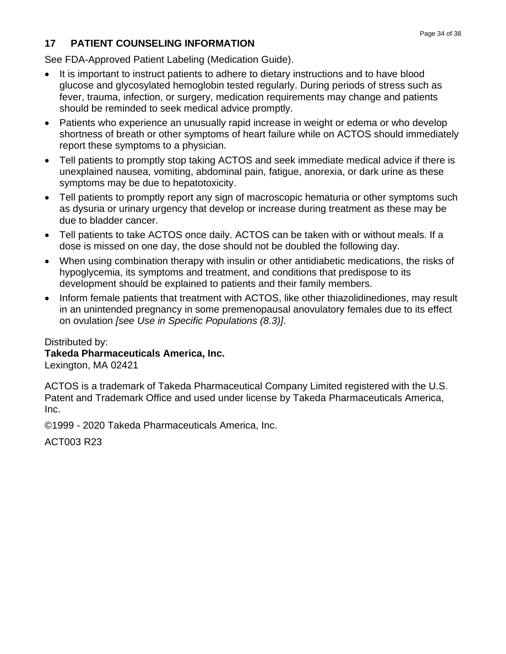# **17 PATIENT COUNSELING INFORMATION**

See FDA-Approved Patient Labeling (Medication Guide).

- It is important to instruct patients to adhere to dietary instructions and to have blood glucose and glycosylated hemoglobin tested regularly. During periods of stress such as fever, trauma, infection, or surgery, medication requirements may change and patients should be reminded to seek medical advice promptly.
- Patients who experience an unusually rapid increase in weight or edema or who develop shortness of breath or other symptoms of heart failure while on ACTOS should immediately report these symptoms to a physician.
- Tell patients to promptly stop taking ACTOS and seek immediate medical advice if there is unexplained nausea, vomiting, abdominal pain, fatigue, anorexia, or dark urine as these symptoms may be due to hepatotoxicity.
- Tell patients to promptly report any sign of macroscopic hematuria or other symptoms such as dysuria or urinary urgency that develop or increase during treatment as these may be due to bladder cancer.
- Tell patients to take ACTOS once daily. ACTOS can be taken with or without meals. If a dose is missed on one day, the dose should not be doubled the following day.
- When using combination therapy with insulin or other antidiabetic medications, the risks of hypoglycemia, its symptoms and treatment, and conditions that predispose to its development should be explained to patients and their family members.
- Inform female patients that treatment with ACTOS, like other thiazolidinediones, may result in an unintended pregnancy in some premenopausal anovulatory females due to its effect on ovulation *[see Use in Specific Populations (8.3)]*.

Distributed by: **Takeda Pharmaceuticals America, Inc.**  Lexington, MA 02421

ACTOS is a trademark of Takeda Pharmaceutical Company Limited registered with the U.S. Patent and Trademark Office and used under license by Takeda Pharmaceuticals America, Inc.

©1999 - 2020 Takeda Pharmaceuticals America, Inc.

ACT003 R23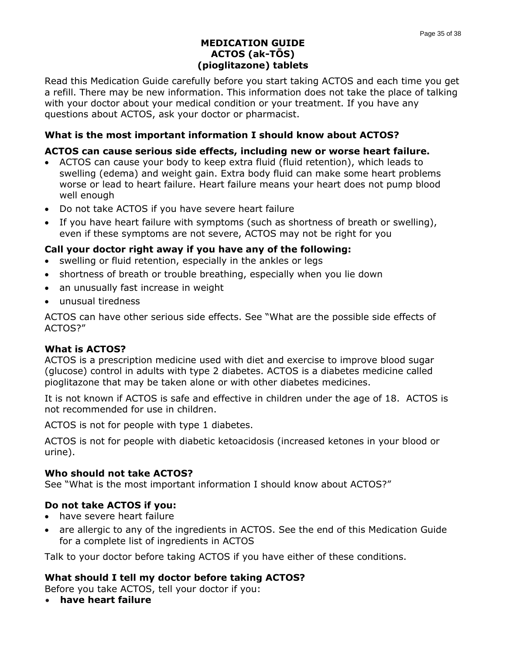#### **MEDICATION GUIDE ACTOS (ak-TŌS) (pioglitazone) tablets**

Read this Medication Guide carefully before you start taking ACTOS and each time you get a refill. There may be new information. This information does not take the place of talking with your doctor about your medical condition or your treatment. If you have any questions about ACTOS, ask your doctor or pharmacist.

### **What is the most important information I should know about ACTOS?**

#### **ACTOS can cause serious side effects, including new or worse heart failure.**

- ACTOS can cause your body to keep extra fluid (fluid retention), which leads to swelling (edema) and weight gain. Extra body fluid can make some heart problems worse or lead to heart failure. Heart failure means your heart does not pump blood well enough
- Do not take ACTOS if you have severe heart failure
- If you have heart failure with symptoms (such as shortness of breath or swelling), even if these symptoms are not severe, ACTOS may not be right for you

#### **Call your doctor right away if you have any of the following:**

- swelling or fluid retention, especially in the ankles or legs
- shortness of breath or trouble breathing, especially when you lie down
- an unusually fast increase in weight
- unusual tiredness

ACTOS can have other serious side effects. See "What are the possible side effects of ACTOS?"

#### **What is ACTOS?**

ACTOS is a prescription medicine used with diet and exercise to improve blood sugar (glucose) control in adults with type 2 diabetes. ACTOS is a diabetes medicine called pioglitazone that may be taken alone or with other diabetes medicines.

It is not known if ACTOS is safe and effective in children under the age of 18. ACTOS is not recommended for use in children.

ACTOS is not for people with type 1 diabetes.

ACTOS is not for people with diabetic ketoacidosis (increased ketones in your blood or urine).

#### **Who should not take ACTOS?**

See "What is the most important information I should know about ACTOS?"

#### **Do not take ACTOS if you:**

- have severe heart failure
- are allergic to any of the ingredients in ACTOS. See the end of this Medication Guide for a complete list of ingredients in ACTOS

Talk to your doctor before taking ACTOS if you have either of these conditions.

### **What should I tell my doctor before taking ACTOS?**

Before you take ACTOS, tell your doctor if you:

• **have heart failure**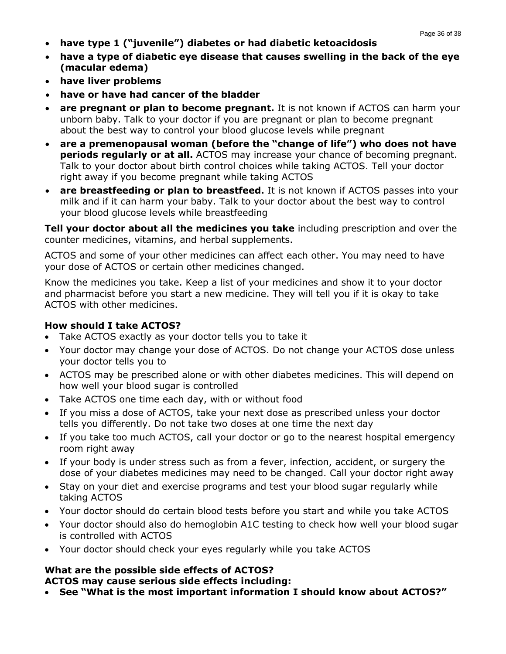- **have type 1 ("juvenile") diabetes or had diabetic ketoacidosis**
- **have a type of diabetic eye disease that causes swelling in the back of the eye (macular edema)**
- **have liver problems**
- **have or have had cancer of the bladder**
- **are pregnant or plan to become pregnant.** It is not known if ACTOS can harm your unborn baby. Talk to your doctor if you are pregnant or plan to become pregnant about the best way to control your blood glucose levels while pregnant
- **are a premenopausal woman (before the "change of life") who does not have periods regularly or at all.** ACTOS may increase your chance of becoming pregnant. Talk to your doctor about birth control choices while taking ACTOS. Tell your doctor right away if you become pregnant while taking ACTOS
- **are breastfeeding or plan to breastfeed.** It is not known if ACTOS passes into your milk and if it can harm your baby. Talk to your doctor about the best way to control your blood glucose levels while breastfeeding

**Tell your doctor about all the medicines you take** including prescription and over the counter medicines, vitamins, and herbal supplements.

ACTOS and some of your other medicines can affect each other. You may need to have your dose of ACTOS or certain other medicines changed.

Know the medicines you take. Keep a list of your medicines and show it to your doctor and pharmacist before you start a new medicine. They will tell you if it is okay to take ACTOS with other medicines.

### **How should I take ACTOS?**

- Take ACTOS exactly as your doctor tells you to take it
- Your doctor may change your dose of ACTOS. Do not change your ACTOS dose unless your doctor tells you to
- ACTOS may be prescribed alone or with other diabetes medicines. This will depend on how well your blood sugar is controlled
- Take ACTOS one time each day, with or without food
- If you miss a dose of ACTOS, take your next dose as prescribed unless your doctor tells you differently. Do not take two doses at one time the next day
- If you take too much ACTOS, call your doctor or go to the nearest hospital emergency room right away
- If your body is under stress such as from a fever, infection, accident, or surgery the dose of your diabetes medicines may need to be changed. Call your doctor right away
- Stay on your diet and exercise programs and test your blood sugar regularly while taking ACTOS
- Your doctor should do certain blood tests before you start and while you take ACTOS
- Your doctor should also do hemoglobin A1C testing to check how well your blood sugar is controlled with ACTOS
- Your doctor should check your eyes regularly while you take ACTOS

# **What are the possible side effects of ACTOS?**

**ACTOS may cause serious side effects including:**

• **See "What is the most important information I should know about ACTOS?"**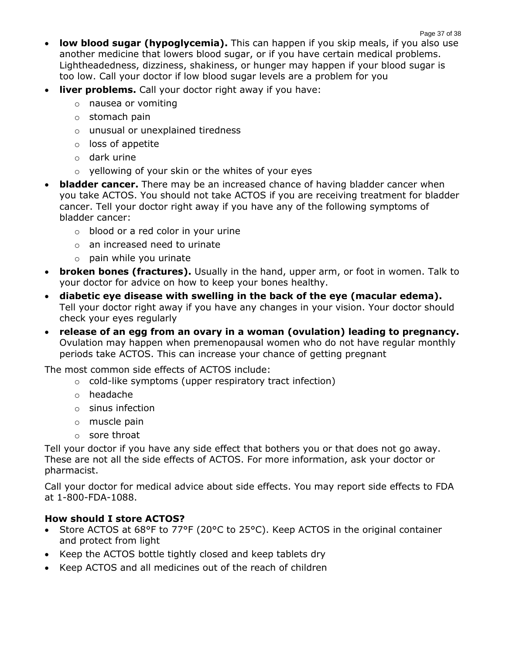**low blood sugar (hypoglycemia).** This can happen if you skip meals, if you also use another medicine that lowers blood sugar, or if you have certain medical problems. Lightheadedness, dizziness, shakiness, or hunger may happen if your blood sugar is too low. Call your doctor if low blood sugar levels are a problem for you

Page 37 of 38

- **liver problems.** Call your doctor right away if you have:
	- o nausea or vomiting
	- o stomach pain
	- o unusual or unexplained tiredness
	- o loss of appetite
	- o dark urine
	- o yellowing of your skin or the whites of your eyes
- **bladder cancer.** There may be an increased chance of having bladder cancer when you take ACTOS. You should not take ACTOS if you are receiving treatment for bladder cancer. Tell your doctor right away if you have any of the following symptoms of bladder cancer:
	- o blood or a red color in your urine
	- o an increased need to urinate
	- $\circ$  pain while you urinate
- **broken bones (fractures).** Usually in the hand, upper arm, or foot in women. Talk to your doctor for advice on how to keep your bones healthy.
- **diabetic eye disease with swelling in the back of the eye (macular edema).** Tell your doctor right away if you have any changes in your vision. Your doctor should check your eyes regularly
- **release of an egg from an ovary in a woman (ovulation) leading to pregnancy.**  Ovulation may happen when premenopausal women who do not have regular monthly periods take ACTOS. This can increase your chance of getting pregnant

The most common side effects of ACTOS include:

- o cold-like symptoms (upper respiratory tract infection)
- o headache
- o sinus infection
- o muscle pain
- o sore throat

Tell your doctor if you have any side effect that bothers you or that does not go away. These are not all the side effects of ACTOS. For more information, ask your doctor or pharmacist.

Call your doctor for medical advice about side effects. You may report side effects to FDA at 1-800-FDA-1088.

### **How should I store ACTOS?**

- Store ACTOS at 68°F to 77°F (20°C to 25°C). Keep ACTOS in the original container and protect from light
- Keep the ACTOS bottle tightly closed and keep tablets dry
- Keep ACTOS and all medicines out of the reach of children